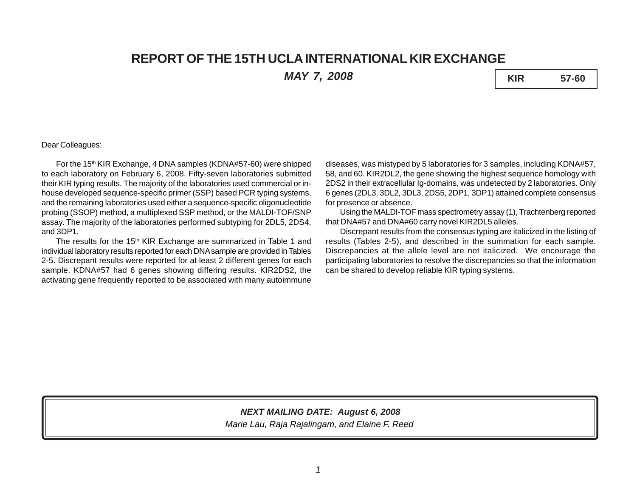# **REPORT OF THE 15TH UCLA INTERNATIONAL KIR EXCHANGE**

*MAY 7, 2008* **KIR 57-60**

## Dear Colleagues:

For the 15<sup>th</sup> KIR Exchange, 4 DNA samples (KDNA#57-60) were shipped to each laboratory on February 6, 2008. Fifty-seven laboratories submitted their KIR typing results. The majority of the laboratories used commercial or inhouse developed sequence-specific primer (SSP) based PCR typing systems, and the remaining laboratories used either a sequence-specific oligonucleotide probing (SSOP) method, a multiplexed SSP method, or the MALDI-TOF/SNP assay. The majority of the laboratories performed subtyping for 2DL5, 2DS4, and 3DP1.

The results for the 15<sup>th</sup> KIR Exchange are summarized in Table 1 and individual laboratory results reported for each DNA sample are provided in Tables 2-5. Discrepant results were reported for at least 2 different genes for each sample. KDNA#57 had 6 genes showing differing results. KIR2DS2, the activating gene frequently reported to be associated with many autoimmune

diseases, was mistyped by 5 laboratories for 3 samples, including KDNA#57, 58, and 60. KIR2DL2, the gene showing the highest sequence homology with 2DS2 in their extracellular Ig-domains, was undetected by 2 laboratories. Only 6 genes (2DL3, 3DL2, 3DL3, 2DS5, 2DP1, 3DP1) attained complete consensus for presence or absence.

Using the MALDI-TOF mass spectrometry assay (1), Trachtenberg reported that DNA#57 and DNA#60 carry novel KIR2DL5 alleles.

Discrepant results from the consensus typing are italicized in the listing of results (Tables 2-5), and described in the summation for each sample. Discrepancies at the allele level are not italicized. We encourage the participating laboratories to resolve the discrepancies so that the information can be shared to develop reliable KIR typing systems.

# *NEXT MAILING DATE: August 6, 2008*

*Marie Lau, Raja Rajalingam, and Elaine F. Reed*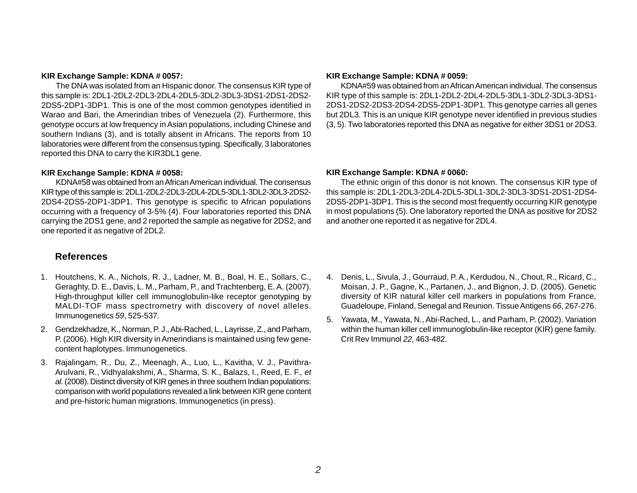### **KIR Exchange Sample: KDNA # 0057:**

The DNA was isolated from an Hispanic donor. The consensus KIR type of this sample is: 2DL1-2DL2-2DL3-2DL4-2DL5-3DL2-3DL3-3DS1-2DS1-2DS2- 2DS5-2DP1-3DP1. This is one of the most common genotypes identified in Warao and Bari, the Amerindian tribes of Venezuela (2). Furthermore, this genotype occurs at low frequency in Asian populations, including Chinese and southern Indians (3), and is totally absent in Africans. The reports from 10 laboratories were different from the consensus typing. Specifically, 3 laboratories reported this DNA to carry the KIR3DL1 gene.

## **KIR Exchange Sample: KDNA # 0058:**

KDNA#58 was obtained from an African American individual. The consensus KIR type of this sample is: 2DL1-2DL2-2DL3-2DL4-2DL5-3DL1-3DL2-3DL3-2DS2- 2DS4-2DS5-2DP1-3DP1. This genotype is specific to African populations occurring with a frequency of 3-5% (4). Four laboratories reported this DNA carrying the 2DS1 gene, and 2 reported the sample as negative for 2DS2, and one reported it as negative of 2DL2.

## **References**

- 1. Houtchens, K. A., Nichols, R. J., Ladner, M. B., Boal, H. E., Sollars, C., Geraghty, D. E., Davis, L. M., Parham, P., and Trachtenberg, E. A. (2007). High-throughput killer cell immunoglobulin-like receptor genotyping by MALDI-TOF mass spectrometry with discovery of novel alleles. Immunogenetics *59*, 525-537.
- 2. Gendzekhadze, K., Norman, P. J., Abi-Rached, L., Layrisse, Z., and Parham, P. (2006). High KIR diversity in Amerindians is maintained using few genecontent haplotypes. Immunogenetics.
- 3. Rajalingam, R., Du, Z., Meenagh, A., Luo, L., Kavitha, V. J., Pavithra-Arulvani, R., Vidhyalakshmi, A., Sharma, S. K., Balazs, I., Reed, E. F.*, et al.* (2008). Distinct diversity of KIR genes in three southern Indian populations: comparison with world populations revealed a link between KIR gene content and pre-historic human migrations. Immunogenetics (in press).

#### **KIR Exchange Sample: KDNA # 0059:**

KDNA#59 was obtained from an African American individual. The consensus KIR type of this sample is: 2DL1-2DL2-2DL4-2DL5-3DL1-3DL2-3DL3-3DS1- 2DS1-2DS2-2DS3-2DS4-2DS5-2DP1-3DP1. This genotype carries all genes but 2DL3. This is an unique KIR genotype never identified in previous studies (3, 5). Two laboratories reported this DNA as negative for either 3DS1 or 2DS3.

#### **KIR Exchange Sample: KDNA # 0060:**

The ethnic origin of this donor is not known. The consensus KIR type of this sample is: 2DL1-2DL3-2DL4-2DL5-3DL1-3DL2-3DL3-3DS1-2DS1-2DS4- 2DS5-2DP1-3DP1. This is the second most frequently occurring KIR genotype in most populations (5). One laboratory reported the DNA as positive for 2DS2 and another one reported it as negative for 2DL4.

- 4. Denis, L., Sivula, J., Gourraud, P. A., Kerdudou, N., Chout, R., Ricard, C., Moisan, J. P., Gagne, K., Partanen, J., and Bignon, J. D. (2005). Genetic diversity of KIR natural killer cell markers in populations from France, Guadeloupe, Finland, Senegal and Reunion. Tissue Antigens *66*, 267-276.
- 5. Yawata, M., Yawata, N., Abi-Rached, L., and Parham, P. (2002). Variation within the human killer cell immunoglobulin-like receptor (KIR) gene family. Crit Rev Immunol *22*, 463-482.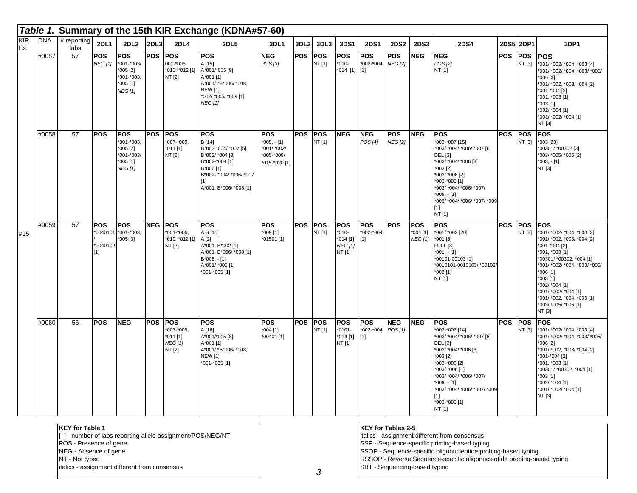|                                |            |                     |                                 |                                                                                     |            |                                                                           | Table 1. Summary of the 15th KIR Exchange (KDNA#57-60)                                                                                                     |                                                                          |                  |                      |                                                                |                                  |                              |                                          |                                                                                                                                                                                                                                                                  |            |                      |                                                                                                                                                                                                                                                                                                          |
|--------------------------------|------------|---------------------|---------------------------------|-------------------------------------------------------------------------------------|------------|---------------------------------------------------------------------------|------------------------------------------------------------------------------------------------------------------------------------------------------------|--------------------------------------------------------------------------|------------------|----------------------|----------------------------------------------------------------|----------------------------------|------------------------------|------------------------------------------|------------------------------------------------------------------------------------------------------------------------------------------------------------------------------------------------------------------------------------------------------------------|------------|----------------------|----------------------------------------------------------------------------------------------------------------------------------------------------------------------------------------------------------------------------------------------------------------------------------------------------------|
| $\overline{\text{KIR}}$<br>Ex. | <b>DNA</b> | # reporting<br>labs | 2DL1                            | $2DL2$ $2DL3$                                                                       |            | 2DL4                                                                      | <b>2DL5</b>                                                                                                                                                | 3DL1                                                                     | 3DL <sub>2</sub> | 3DL3                 | 3DS1                                                           | <b>2DS1</b>                      | <b>2DS2</b>                  | <b>2DS3</b>                              | <b>2DS4</b>                                                                                                                                                                                                                                                      |            | 2DS5 2DP1            | 3DP1                                                                                                                                                                                                                                                                                                     |
|                                | #0057      | 57                  | <b>POS</b><br><b>NEG [1]</b>    | <b>POS</b><br>*001-*003/<br>*005 [2]<br>*001-*003,<br>$*005[1]$<br><b>NEG</b> [1]   | <b>POS</b> | <b>POS</b><br>001-*006,<br>*010, *012 [1] A*001/*005 [9]<br><b>NT [2]</b> | <b>POS</b><br>A [15]<br>A*001 [1]<br>A*001/ *B*006/ *008,<br><b>NEW [1]</b><br>*002/ *005/ *009 [1]<br><b>NEG[1]</b>                                       | <b>NEG</b><br>POS [3]                                                    | <b>POS</b>       | POS<br>NT [1]        | POS<br>$*010-$<br>*014 [1] [1]                                 | <b>POS</b><br>*002-*004          | POS<br><b>NEG [2]</b>        | <b>NEG</b>                               | <b>NEG</b><br>POS[2]<br>NT [1]                                                                                                                                                                                                                                   | <b>POS</b> | POS<br>NT [3]        | <b>POS</b><br>*001/ *002/ *004, *003 [4]<br>*001/ *002/ *004, *003/ *005/<br>*006 [3]<br>*001/ *002, *003/ *004 [2]<br>*001-*004 [2]<br>*001, *003 [1]<br>*003 [1]<br>*002/ *004 [1]<br>*001/ *002/ *004 [1]<br>NT [3]                                                                                   |
|                                | #0058      | $\overline{57}$     | <b>POS</b>                      | <b>POS</b><br>*001-*003,<br>$*005[2]$<br>*001-*003/<br>$*005$ [1]<br><b>NEG</b> [1] | <b>POS</b> | <b>POS</b><br>*007-*009.<br>*011 [1]<br>NT [2]                            | <b>POS</b><br>B [14]<br>B*002 *004/ *007 [5]<br>B*002/ *004 [3]<br>B*002-*004 [1]<br>B*006 [1]<br>B*002- *004/ *006/ *007<br>[1]<br>A*001, B*006/ *008 [1] | <b>POS</b><br>$*005, -[1]$<br>*001/ *002/<br>*005-*008/<br>*015-*020 [1] | POS              | <b>POS</b><br>NT [1] | <b>NEG</b>                                                     | <b>NEG</b><br>POS [4]            | <b>POS</b><br><b>NEG</b> [2] | <b>NEG</b>                               | <b>POS</b><br>*003-*007 [15]<br>*003/ *004/ *006/ *007 [6]<br><b>DEL</b> [3]<br>*003/ *004/ *006 [3]<br>*003 [2]<br>*003/ *006 [2]<br>*003-*006 [1]<br>*003/ *004/ *006/ *007/<br>$*009, -[1]$<br>*003/ *004/ *006/ *007/ *009<br>$[1]$<br>NT [1]                | <b>POS</b> | <b>POS</b><br>NT [3] | <b>POS</b><br>*003 [20]<br>*00301/ *00302 [3]<br>*003/ *005/ *006 [2]<br>$*003, -[1]$<br>NT [3]                                                                                                                                                                                                          |
| #15                            | #0059      | 57                  | <b>POS</b><br>*0040102<br>$[1]$ | <b>POS</b><br>'0040101 *001-*003,<br>*005 [3]                                       | <b>NEG</b> | <b>POS</b><br>*001-*006,<br>*010, *012 [1] A [2]<br>NT [2]                | <b>POS</b><br>A,B [11]<br>A*001, B*002 [1]<br>A*001, B*006/ *008 [1]<br>$B*006, -[1]$<br>A*001/ *005 [1]<br>*001-*005 [1]                                  | <b>POS</b><br>*009 [1]<br>*01501 [1]                                     | <b>POS</b>       | <b>POS</b><br>NT [1] | <b>POS</b><br>$*010-$<br>$*014[1]$<br><b>NEG [1]</b><br>NT [1] | <b>POS</b><br>*002-*004<br>$[1]$ | <b>POS</b>                   | <b>POS</b><br>*001 [1]<br><b>NEG</b> [1] | <b>POS</b><br>*001/ *002 [20]<br>*001 [8]<br>FULL [3]<br>$*001, -[1]$<br>*00101-00103 [1]<br>*0010101-0010103/ *00102/<br>*002 [1]<br>NT [1]                                                                                                                     | <b>POS</b> | <b>POS</b><br>NT [3] | <b>POS</b><br>*001/ *002/ *004, *003 [3]<br>*001/ *002, *003/ *004 [2]<br>*001-*004 [2]<br>*001, *003 [1]<br>*00301/ *00302, *004 [1]<br>*001/ *002/ *004, *003/ *005/<br>*006 [1]<br>*003 [1]<br>*002/ *004 [1]<br>*001/ *002/ *004 [1]<br>*001/ *002, *004, *003 [1]<br>*003/ *005/ *006 [1]<br>NT [3] |
|                                | #0060      | 56                  | <b>POS</b>                      | <b>NEG</b>                                                                          | <b>POS</b> | <b>POS</b><br>*007-*009.<br>*011 [1]<br><b>NEG</b> [1]<br>NT [2]          | <b>POS</b><br>A[16]<br>A*001/*005 [8]<br>A*001 [1]<br>A*001/ *B*006/ *008,<br><b>NEW</b> [1]<br>*001-*005 [1]                                              | <b>POS</b><br>$*004$ [1]<br>*00401 [1]                                   | POS              | <b>POS</b><br>NT [1] | <b>POS</b><br>$*0101 -$<br>*014 [1]<br>NT [1]                  | <b>POS</b><br>*002-*004<br>$[1]$ | <b>NEG</b><br>POS [1]        | <b>NEG</b>                               | <b>POS</b><br>*003-*007 [14]<br>*003/ *004/ *006/ *007 [6]<br><b>DEL</b> [3]<br>*003/ *004/ *006 [3]<br>*003 [2]<br>*003-*006 [2]<br>*003/ *006 [1]<br>*003/ *004/ *006/ *007/<br>$*009, -[1]$<br>*003/ *004/ *006/ *007/ *009<br>[1]<br>*003-*009 [1]<br>NT [1] | <b>POS</b> | <b>POS</b><br>NT [3] | <b>POS</b><br>*001/ *002/ *004, *003 [4]<br>*001/ *002/ *004, *003/ *005/<br>*006 [2]<br>*001/ *002, *003/ *004 [2]<br>*001-*004 [2]<br>*001, *003 [1]<br>*00301/ *00302, *004 [1]<br>*003 [1]<br>*002/ *004 [1]<br>*001/ *002/ *004 [1]<br>NT [3]                                                       |

| <b>KEY for Table 1</b>                                      | <b>KEY for Tables 2-5</b>                                              |
|-------------------------------------------------------------|------------------------------------------------------------------------|
| [1] - number of labs reporting allele assignment/POS/NEG/NT | italics - assignment different from consensus                          |
| POS - Presence of gene                                      | SSP - Sequence-specific priming-based typing                           |
| NEG - Absence of gene                                       | SSOP - Sequence-specific oligonucleotide probing-based typing          |
| NT - Not typed                                              | RSSOP - Reverse Sequence-specific oligonucleotide probing-based typing |
| litalics - assignment different from consensus              | <b>SBT</b> - Sequencing-based typing                                   |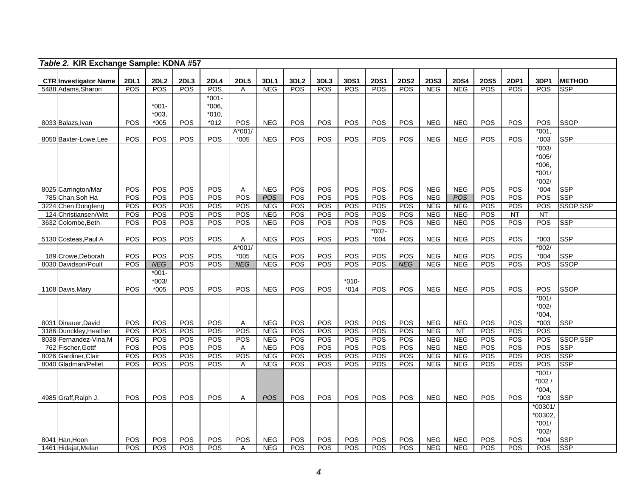| Table 2. KIR Exchange Sample: KDNA #57             |                   |                    |                    |                   |                  |                          |                                |                    |                           |                    |                           |                           |                           |                           |                    |                    |                             |
|----------------------------------------------------|-------------------|--------------------|--------------------|-------------------|------------------|--------------------------|--------------------------------|--------------------|---------------------------|--------------------|---------------------------|---------------------------|---------------------------|---------------------------|--------------------|--------------------|-----------------------------|
|                                                    |                   |                    |                    |                   |                  |                          |                                |                    |                           |                    |                           |                           |                           |                           |                    |                    |                             |
| <b>CTR Investigator Name</b><br>5488 Adams, Sharon | 2DL1<br>POS       | 2DL2<br><b>POS</b> | 2DL3<br><b>POS</b> | 2DL4<br>POS       | <b>2DL5</b><br>A | 3DL1<br><b>NEG</b>       | 3DL <sub>2</sub><br><b>POS</b> | 3DL3<br><b>POS</b> | <b>3DS1</b><br><b>POS</b> | <b>2DS1</b><br>POS | <b>2DS2</b><br><b>POS</b> | <b>2DS3</b><br><b>NEG</b> | <b>2DS4</b><br><b>NEG</b> | <b>2DS5</b><br><b>POS</b> | 2DP1<br><b>POS</b> | 3DP1<br><b>POS</b> | <b>METHOD</b><br><b>SSP</b> |
|                                                    |                   |                    |                    | $*001 -$          |                  |                          |                                |                    |                           |                    |                           |                           |                           |                           |                    |                    |                             |
|                                                    |                   | $*001 -$           |                    | $*006,$           |                  |                          |                                |                    |                           |                    |                           |                           |                           |                           |                    |                    |                             |
|                                                    |                   | $*003,$            |                    | $*010,$           |                  |                          |                                |                    |                           |                    |                           |                           |                           |                           |                    |                    |                             |
| 8033 Balazs, Ivan                                  | POS               | $*005$             | POS                | *012              | POS              | <b>NEG</b>               | POS                            | POS                | POS                       | <b>POS</b>         | POS                       | <b>NEG</b>                | <b>NEG</b>                | POS                       | <b>POS</b>         | POS                | <b>SSOP</b>                 |
|                                                    |                   |                    |                    |                   | A*001/           |                          |                                |                    |                           |                    |                           |                           |                           |                           |                    | $*001.$            |                             |
| 8050 Baxter-Lowe, Lee                              | POS               | <b>POS</b>         | POS                | <b>POS</b>        | $*005$           | <b>NEG</b>               | POS                            | POS                | POS                       | POS                | POS                       | <b>NEG</b>                | <b>NEG</b>                | POS                       | <b>POS</b>         | $*003$             | <b>SSP</b>                  |
|                                                    |                   |                    |                    |                   |                  |                          |                                |                    |                           |                    |                           |                           |                           |                           |                    | $*003/$            |                             |
|                                                    |                   |                    |                    |                   |                  |                          |                                |                    |                           |                    |                           |                           |                           |                           |                    | $*005/$            |                             |
|                                                    |                   |                    |                    |                   |                  |                          |                                |                    |                           |                    |                           |                           |                           |                           |                    | $*006,$<br>$*001/$ |                             |
|                                                    |                   |                    |                    |                   |                  |                          |                                |                    |                           |                    |                           |                           |                           |                           |                    | $*002/$            |                             |
| 8025 Carrington/Mar                                | POS               | POS                | POS                | POS               | Α                | <b>NEG</b>               | POS                            | POS                | POS                       | POS                | POS                       | <b>NEG</b>                | <b>NEG</b>                | <b>POS</b>                | <b>POS</b>         | $*004$             | <b>SSP</b>                  |
| 785 Chan, Soh Ha                                   | POS               | POS                | POS                | <b>POS</b>        | POS              | <b>POS</b>               | POS                            | POS                | POS                       | POS                | POS                       | <b>NEG</b>                | <b>POS</b>                | POS                       | POS                | POS                | <b>SSP</b>                  |
| 3224 Chen, Dongfeng                                | POS               | POS                | POS                | <b>POS</b>        | POS              | <b>NEG</b>               | POS                            | POS                | POS                       | POS                | <b>POS</b>                | <b>NEG</b>                | <b>NEG</b>                | <b>POS</b>                | POS                | POS                | SSOP,SSP                    |
| 124 Christiansen/Witt                              | POS               | POS                | POS                | POS               | POS              | <b>NEG</b>               | POS                            | POS                | POS                       | POS                | POS                       | <b>NEG</b>                | <b>NEG</b>                | POS                       | <b>NT</b>          | <b>NT</b>          |                             |
| 3632 Colombe, Beth                                 | POS               | POS                | POS                | POS               | POS              | <b>NEG</b>               | POS                            | POS                | POS                       | POS                | POS                       | <b>NEG</b>                | <b>NEG</b>                | <b>POS</b>                | <b>POS</b>         | POS                | <b>SSP</b>                  |
|                                                    |                   |                    |                    |                   |                  |                          |                                |                    |                           | $*002-$            |                           |                           |                           |                           |                    |                    |                             |
| 5130 Costeas, Paul A                               | POS               | <b>POS</b>         | POS                | <b>POS</b>        | Α                | <b>NEG</b>               | POS                            | POS                | POS                       | $*004$             | POS                       | <b>NEG</b>                | <b>NEG</b>                | POS                       | <b>POS</b>         | $*003$             | <b>SSP</b>                  |
|                                                    | POS               | POS                | POS                | <b>POS</b>        | A*001/<br>$*005$ | <b>NEG</b>               | POS                            | POS                | POS                       | POS                | POS                       | <b>NEG</b>                | <b>NEG</b>                | POS                       | <b>POS</b>         | $*002/$<br>$*004$  | <b>SSP</b>                  |
| 189 Crowe, Deborah<br>8030 Davidson/Poult          | POS               | <b>NEG</b>         | POS                | POS               | <b>NEG</b>       | <b>NEG</b>               | POS                            | POS                | POS                       | POS                | <b>NEG</b>                | <b>NEG</b>                | NEG                       | POS                       | POS                | POS                | <b>SSOP</b>                 |
|                                                    |                   | $*001-$            |                    |                   |                  |                          |                                |                    |                           |                    |                           |                           |                           |                           |                    |                    |                             |
|                                                    |                   | $*003/$            |                    |                   |                  |                          |                                |                    | $*010-$                   |                    |                           |                           |                           |                           |                    |                    |                             |
| 1108 Davis, Mary                                   | POS               | $*005$             | POS                | <b>POS</b>        | POS              | <b>NEG</b>               | POS                            | POS                | $*014$                    | POS                | POS                       | <b>NEG</b>                | <b>NEG</b>                | POS                       | <b>POS</b>         | POS                | <b>SSOP</b>                 |
|                                                    |                   |                    |                    |                   |                  |                          |                                |                    |                           |                    |                           |                           |                           |                           |                    | $*001/$            |                             |
|                                                    |                   |                    |                    |                   |                  |                          |                                |                    |                           |                    |                           |                           |                           |                           |                    | $*002/$            |                             |
|                                                    |                   |                    |                    |                   |                  |                          |                                |                    |                           |                    |                           |                           |                           |                           |                    | $*004,$            |                             |
| 8031 Dinauer, David                                | POS               | POS                | POS                | <b>POS</b>        | Α                | <b>NEG</b>               | POS                            | POS                | POS                       | <b>POS</b>         | <b>POS</b>                | <b>NEG</b>                | <b>NEG</b>                | <b>POS</b>                | <b>POS</b>         | $*003$             | <b>SSP</b>                  |
| 3186 Dunckley, Heather                             | POS               | POS                | <b>POS</b>         | POS               | POS              | <b>NEG</b>               | POS                            | POS                | POS                       | POS                | POS                       | <b>NEG</b>                | $\overline{NT}$           | POS                       | <b>POS</b>         | POS                |                             |
| 8038 Fernandez-Vina, M<br>762 Fischer, Gottf       | POS<br><b>POS</b> | POS<br>POS         | <b>POS</b><br>POS  | <b>POS</b><br>POS | <b>POS</b><br>Α  | <b>NEG</b><br><b>NEG</b> | POS<br>POS                     | POS<br>POS         | POS<br>POS                | <b>POS</b><br>POS  | <b>POS</b><br>POS         | <b>NEG</b><br><b>NEG</b>  | <b>NEG</b><br><b>NEG</b>  | POS<br>POS                | <b>POS</b><br>POS  | POS<br>POS         | SSOP,SSP<br><b>SSP</b>      |
| 8026 Gardiner, Clair                               | POS               | POS                | POS                | POS               | POS              | <b>NEG</b>               | POS                            | POS                | POS                       | POS                | POS                       | <b>NEG</b>                | <b>NEG</b>                | POS                       | POS                | POS                | SSP                         |
| 8040 Gladman/Pellet                                | POS               | POS                | POS                | <b>POS</b>        | Α                | <b>NEG</b>               | POS                            | POS                | <b>POS</b>                | POS                | <b>POS</b>                | <b>NEG</b>                | <b>NEG</b>                | <b>POS</b>                | POS                | POS                | <b>SSP</b>                  |
|                                                    |                   |                    |                    |                   |                  |                          |                                |                    |                           |                    |                           |                           |                           |                           |                    | $*001/$            |                             |
|                                                    |                   |                    |                    |                   |                  |                          |                                |                    |                           |                    |                           |                           |                           |                           |                    | $*002/$            |                             |
|                                                    |                   |                    |                    |                   |                  |                          |                                |                    |                           |                    |                           |                           |                           |                           |                    | $*004,$            |                             |
| 4985 Graff, Ralph J.                               | <b>POS</b>        | POS                | <b>POS</b>         | POS               | Α                | <b>POS</b>               | <b>POS</b>                     | POS                | POS                       | POS                | POS                       | <b>NEG</b>                | <b>NEG</b>                | POS                       | <b>POS</b>         | $*003$             | <b>SSP</b>                  |
|                                                    |                   |                    |                    |                   |                  |                          |                                |                    |                           |                    |                           |                           |                           |                           |                    | *00301/            |                             |
|                                                    |                   |                    |                    |                   |                  |                          |                                |                    |                           |                    |                           |                           |                           |                           |                    | *00302,            |                             |
|                                                    |                   |                    |                    |                   |                  |                          |                                |                    |                           |                    |                           |                           |                           |                           |                    | $*001/$<br>$*002/$ |                             |
| 8041 Han, Hoon                                     | POS               | POS                | POS                | POS               | POS              | <b>NEG</b>               | POS                            | POS                | POS                       | POS                | POS                       | <b>NEG</b>                | <b>NEG</b>                | POS                       | POS                | $*004$             | <b>SSP</b>                  |
| 1461 Hidajat, Melan                                | POS               | POS                | POS                | <b>POS</b>        | Α                | <b>NEG</b>               | POS                            | POS                | POS                       | POS                | <b>POS</b>                | <b>NEG</b>                | <b>NEG</b>                | POS                       | POS                | POS                | <b>SSP</b>                  |
|                                                    |                   |                    |                    |                   |                  |                          |                                |                    |                           |                    |                           |                           |                           |                           |                    |                    |                             |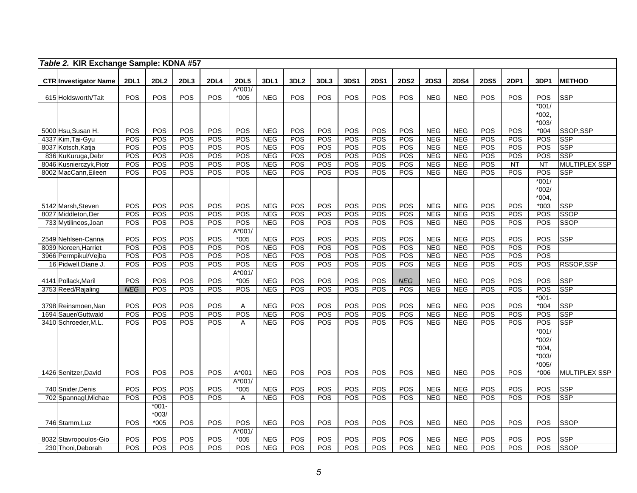|      | Table 2. KIR Exchange Sample: KDNA #57      |             |                  |            |                   |                   |                          |                  |            |             |             |             |                          |                          |             |            |                    |                           |
|------|---------------------------------------------|-------------|------------------|------------|-------------------|-------------------|--------------------------|------------------|------------|-------------|-------------|-------------|--------------------------|--------------------------|-------------|------------|--------------------|---------------------------|
|      | <b>CTR Investigator Name</b>                | <b>2DL1</b> | 2DL <sub>2</sub> | 2DL3       | <b>2DL4</b>       | <b>2DL5</b>       | 3DL1                     | 3DL <sub>2</sub> | 3DL3       | <b>3DS1</b> | <b>2DS1</b> | <b>2DS2</b> | <b>2DS3</b>              | <b>2DS4</b>              | <b>2DS5</b> | 2DP1       | 3DP1               | <b>METHOD</b>             |
|      | 615 Holdsworth/Tait                         | POS         | POS              | POS        | <b>POS</b>        | A*001/<br>$*005$  | <b>NEG</b>               | POS              | POS        | POS         | POS         | POS         | <b>NEG</b>               | <b>NEG</b>               | POS         | <b>POS</b> | POS                | <b>SSP</b>                |
|      |                                             |             |                  |            |                   |                   |                          |                  |            |             |             |             |                          |                          |             |            | $*001/$            |                           |
|      |                                             |             |                  |            |                   |                   |                          |                  |            |             |             |             |                          |                          |             |            | $*002,$<br>$*003/$ |                           |
|      | 5000 Hsu, Susan H.                          | POS         | POS              | POS        | POS               | POS               | <b>NEG</b>               | POS              | POS        | POS         | POS         | POS         | <b>NEG</b>               | <b>NEG</b>               | POS         | POS        | $*004$             | SSOP.SSP                  |
|      | 4337 Kim, Tai-Gyu                           | POS         | POS              | POS        | POS               | POS               | <b>NEG</b>               | <b>POS</b>       | POS        | POS         | POS         | <b>POS</b>  | <b>NEG</b>               | NEG                      | POS         | <b>POS</b> | POS                | <b>SSP</b>                |
|      | 8037 Kotsch, Katja                          | POS         | POS              | POS        | <b>POS</b>        | <b>POS</b>        | <b>NEG</b>               | POS              | POS        | POS         | POS         | POS         | <b>NEG</b>               | <b>NEG</b>               | POS         | <b>POS</b> | POS                | <b>SSP</b>                |
|      | 836 KuKuruga, Debr                          | POS         | POS              | <b>POS</b> | <b>POS</b>        | POS               | <b>NEG</b>               | <b>POS</b>       | <b>POS</b> | POS         | <b>POS</b>  | POS         | <b>NEG</b>               | NEG                      | POS         | <b>POS</b> | POS                | <b>SSP</b>                |
|      | 8046 Kusnierczyk, Piotr                     | POS         | POS              | POS        | <b>POS</b><br>POS | POS               | <b>NEG</b>               | POS<br>POS       | POS<br>POS | POS<br>POS  | POS         | POS         | <b>NEG</b>               | <b>NEG</b>               | POS         | NT         | $\overline{NT}$    | <b>MULTIPLEX SSP</b>      |
|      | 8002 MacCann, Eileen                        | POS         | POS              | POS        |                   | POS               | <b>NEG</b>               |                  |            |             | POS         | POS         | <b>NEG</b>               | <b>NEG</b>               | POS         | POS        | POS<br>$*001/$     | <b>SSP</b>                |
|      |                                             |             |                  |            |                   |                   |                          |                  |            |             |             |             |                          |                          |             |            | $*002/$            |                           |
|      |                                             |             |                  |            |                   |                   |                          |                  |            |             |             |             |                          |                          |             |            | $*004,$            |                           |
|      | 5142 Marsh, Steven                          | POS         | POS              | POS        | POS               | POS               | <b>NEG</b>               | POS              | POS        | POS         | POS         | POS         | <b>NEG</b>               | <b>NEG</b>               | POS         | POS        | $*003$             | <b>SSP</b>                |
|      | 8027 Middleton, Der                         | POS         | POS              | POS        | POS               | POS               | <b>NEG</b>               | POS              | POS        | POS         | POS         | POS         | <b>NEG</b>               | NEG                      | POS         | POS        | POS                | <b>SSOP</b>               |
|      | 733 Mytilineos, Joan                        | POS         | POS              | POS        | <b>POS</b>        | POS               | <b>NEG</b>               | POS              | POS        | POS         | POS         | POS         | <b>NEG</b>               | <b>NEG</b>               | POS         | POS        | POS                | <b>SSOP</b>               |
|      |                                             |             |                  |            |                   | $A*001/$          |                          |                  |            |             |             |             |                          |                          |             |            |                    |                           |
|      | 2549 Nehlsen-Canna<br>8039 Noreen, Harriet  | POS<br>POS  | POS<br>POS       | POS<br>POS | POS<br>POS        | $*005$<br>POS     | <b>NEG</b><br><b>NEG</b> | POS<br>POS       | POS<br>POS | POS<br>POS  | POS<br>POS  | POS<br>POS  | <b>NEG</b><br><b>NEG</b> | <b>NEG</b><br><b>NEG</b> | POS<br>POS  | POS<br>POS | POS<br>POS         | <b>SSP</b>                |
|      | 3966 Permpikul/Vejba                        | POS         | POS              | POS        | <b>POS</b>        | POS               | <b>NEG</b>               | POS              | POS        | POS         | POS         | POS         | <b>NEG</b>               | <b>NEG</b>               | POS         | <b>POS</b> | <b>POS</b>         |                           |
|      | 16 Pidwell, Diane J.                        | POS         | POS              | POS        | <b>POS</b>        | POS               | <b>NEG</b>               | POS              | POS        | POS         | POS         | POS         | <b>NEG</b>               | <b>NEG</b>               | POS         | <b>POS</b> | POS                | RSSOP,SSP                 |
|      |                                             |             |                  |            |                   | $A*001/$          |                          |                  |            |             |             |             |                          |                          |             |            |                    |                           |
|      | 4141 Pollack, Maril                         | POS         | POS              | POS        | POS               | $*005$            | <b>NEG</b>               | POS              | POS        | POS         | POS         | <b>NEG</b>  | <b>NEG</b>               | <b>NEG</b>               | POS         | POS        | POS                | <b>SSP</b>                |
|      | 3753 Reed/Rajaling                          | <b>NEG</b>  | POS              | POS        | POS               | POS               | <b>NEG</b>               | POS              | POS        | POS         | POS         | POS         | <b>NEG</b>               | <b>NEG</b>               | POS         | <b>POS</b> | POS                | <b>SSP</b>                |
|      |                                             |             | POS              | POS        | POS               |                   |                          | POS              | POS        | POS         | POS         | POS         | <b>NEG</b>               | <b>NEG</b>               | POS         | POS        | $*001 -$<br>$*004$ |                           |
| 1694 | 3798 Reinsmoen, Nan<br>Sauer/Guttwald       | POS<br>POS  | POS              | POS        | <b>POS</b>        | A<br>POS          | <b>NEG</b><br><b>NEG</b> | POS              | POS        | POS         | POS         | POS         | <b>NEG</b>               | <b>NEG</b>               | POS         | POS        | POS                | <b>SSP</b><br><b>SSP</b>  |
|      | 3410 Schroeder, M.L.                        | POS         | POS              | POS        | <b>POS</b>        | A                 | <b>NEG</b>               | <b>POS</b>       | POS        | POS         | POS         | <b>POS</b>  | <b>NEG</b>               | <b>NEG</b>               | POS         | POS        | POS                | <b>SSP</b>                |
|      |                                             |             |                  |            |                   |                   |                          |                  |            |             |             |             |                          |                          |             |            | $*001/$            |                           |
|      |                                             |             |                  |            |                   |                   |                          |                  |            |             |             |             |                          |                          |             |            | $*002/$            |                           |
|      |                                             |             |                  |            |                   |                   |                          |                  |            |             |             |             |                          |                          |             |            | *004.              |                           |
|      |                                             |             |                  |            |                   |                   |                          |                  |            |             |             |             |                          |                          |             |            | $*003/$            |                           |
|      |                                             |             |                  |            |                   |                   |                          |                  |            |             |             |             |                          |                          |             |            | $*005/$            |                           |
|      | 1426 Senitzer, David                        | POS         | POS              | POS        | <b>POS</b>        | A*001<br>$A*001/$ | <b>NEG</b>               | POS              | POS        | POS         | POS         | POS         | <b>NEG</b>               | <b>NEG</b>               | POS         | POS        | $*006$             | <b>MULTIPLEX SSP</b>      |
|      | 740 Snider, Denis                           | POS         | POS              | POS        | <b>POS</b>        | $*005$            | <b>NEG</b>               | POS              | POS        | POS         | POS         | POS         | <b>NEG</b>               | <b>NEG</b>               | POS         | POS        | POS                | <b>SSP</b>                |
|      | 702 Spannagl, Michae                        | POS         | POS              | POS        | <b>POS</b>        | Α                 | <b>NEG</b>               | POS              | POS        | POS         | POS         | POS         | <b>NEG</b>               | <b>NEG</b>               | POS         | POS        | <b>POS</b>         | <b>SSP</b>                |
|      |                                             |             | $*001 -$         |            |                   |                   |                          |                  |            |             |             |             |                          |                          |             |            |                    |                           |
|      |                                             |             | $*003/$          |            |                   |                   |                          |                  |            |             |             |             |                          |                          |             |            |                    |                           |
|      | 746 Stamm, Luz                              | POS         | $*005$           | POS        | POS               | POS               | <b>NEG</b>               | POS              | POS        | POS         | POS         | POS         | <b>NEG</b>               | <b>NEG</b>               | POS         | POS        | POS                | <b>SSOP</b>               |
|      |                                             |             |                  |            |                   | A*001/            |                          |                  |            |             |             |             |                          |                          |             |            |                    |                           |
|      | 8032 Stavropoulos-Gio<br>230 Thoni, Deborah | POS<br>POS  | POS<br>POS       | POS<br>POS | <b>POS</b><br>POS | $*005$<br>POS     | <b>NEG</b><br><b>NEG</b> | POS<br>POS       | POS<br>POS | POS<br>POS  | POS<br>POS  | POS<br>POS  | <b>NEG</b><br><b>NEG</b> | <b>NEG</b><br><b>NEG</b> | POS<br>POS  | POS<br>POS | POS<br>POS         | <b>SSP</b><br><b>SSOP</b> |
|      |                                             |             |                  |            |                   |                   |                          |                  |            |             |             |             |                          |                          |             |            |                    |                           |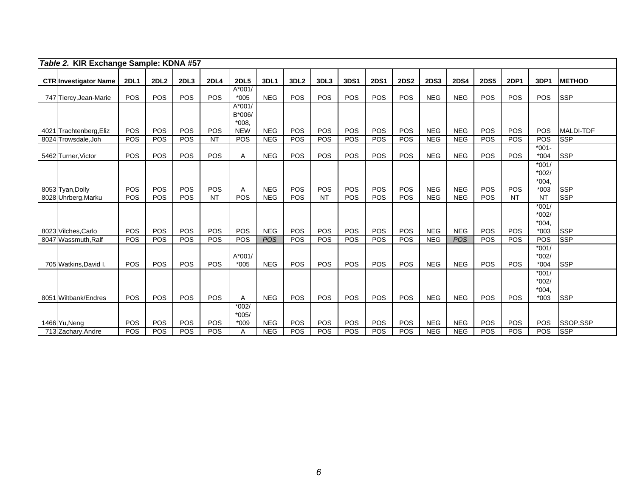| Table 2. KIR Exchange Sample: KDNA #57         |             |                  |            |             |                                             |            |                  |            |             |             |                   |                   |                   |             |             |                               |                          |
|------------------------------------------------|-------------|------------------|------------|-------------|---------------------------------------------|------------|------------------|------------|-------------|-------------|-------------------|-------------------|-------------------|-------------|-------------|-------------------------------|--------------------------|
| <b>CTR Investigator Name</b>                   | <b>2DL1</b> | 2DL <sub>2</sub> | 2DL3       | <b>2DL4</b> | <b>2DL5</b>                                 | 3DL1       | 3DL <sub>2</sub> | 3DL3       | <b>3DS1</b> | <b>2DS1</b> | <b>2DS2</b>       | <b>2DS3</b>       | <b>2DS4</b>       | <b>2DS5</b> | <b>2DP1</b> | 3DP1                          | <b>METHOD</b>            |
| 747 Tiercy, Jean-Marie                         | POS         | POS              | POS        | POS         | $A*001/$<br>$*005$                          | <b>NEG</b> | POS              | POS        | POS         | POS         | POS               | <b>NEG</b>        | <b>NEG</b>        | <b>POS</b>  | POS         | POS                           | <b>SSP</b>               |
|                                                | POS         | POS              | POS        | POS         | $A*001/$<br>B*006/<br>$*008.$<br><b>NEW</b> | <b>NEG</b> | POS              | POS        | POS         | POS         | POS               | <b>NEG</b>        | <b>NEG</b>        | POS         | POS         | POS                           | <b>MALDI-TDF</b>         |
| 4021 Trachtenberg, Eliz<br>8024 Trowsdale, Joh | POS         | POS              | <b>POS</b> | <b>NT</b>   | <b>POS</b>                                  | <b>NEG</b> | <b>POS</b>       | <b>POS</b> | <b>POS</b>  | <b>POS</b>  | <b>POS</b>        | NEG               | <b>NEG</b>        | <b>POS</b>  | <b>POS</b>  | POS                           | <b>SSP</b>               |
|                                                |             |                  |            |             |                                             |            |                  |            |             |             |                   |                   |                   |             |             | $*001 -$                      |                          |
| 5462 Turner, Victor                            | POS         | POS              | POS        | POS         | Α                                           | <b>NEG</b> | POS              | POS        | POS         | POS         | POS               | <b>NEG</b>        | <b>NEG</b>        | POS         | <b>POS</b>  | $*004$                        | <b>SSP</b>               |
|                                                |             |                  |            |             |                                             |            |                  |            |             |             |                   |                   |                   |             |             | $*001/$<br>*002/<br>$*004,$   |                          |
| 8053 Tyan, Dolly                               | POS         | POS              | POS        | POS         | Α<br>POS                                    | <b>NEG</b> | POS              | POS        | POS         | POS         | <b>POS</b><br>POS | <b>NEG</b><br>NEG | <b>NEG</b><br>NEG | POS<br>POS  | <b>POS</b>  | $*003$<br>$\overline{NT}$     | <b>SSP</b><br><b>SSP</b> |
| 8028 Uhrberg, Marku                            | POS         | POS              | <b>POS</b> | <b>NT</b>   |                                             | <b>NEG</b> | POS              | <b>NT</b>  | <b>POS</b>  | POS         |                   |                   |                   |             | <b>NT</b>   | $*001/$                       |                          |
| 8023 Vilches, Carlo                            | POS         | POS              | POS        | POS         | POS                                         | <b>NEG</b> | POS              | POS        | POS         | POS         | <b>POS</b>        | <b>NEG</b>        | <b>NEG</b>        | <b>POS</b>  | POS         | *002/<br>$*004.$<br>$*003$    | <b>SSP</b>               |
| 8047 Wassmuth, Ralf                            | POS         | POS              | POS        | POS         | POS                                         | <b>POS</b> | POS              | POS        | <b>POS</b>  | POS         | <b>POS</b>        | <b>NEG</b>        | <b>POS</b>        | POS         | <b>POS</b>  | POS                           | <b>SSP</b>               |
| 705 Watkins David I.                           | POS         | POS              | POS        | POS         | $A*001/$<br>$*005$                          | <b>NEG</b> | POS              | POS        | POS         | POS         | POS               | <b>NEG</b>        | <b>NEG</b>        | POS         | POS         | $*001/$<br>$*002/$<br>$*004$  | <b>SSP</b>               |
|                                                |             |                  |            |             |                                             |            |                  |            |             |             |                   |                   |                   |             |             | $*001/$<br>$*002/$<br>$*004.$ |                          |
| 8051 Wiltbank/Endres                           | POS         | POS              | POS        | <b>POS</b>  | Α                                           | <b>NEG</b> | POS              | POS        | POS         | POS         | POS               | <b>NEG</b>        | <b>NEG</b>        | POS         | POS         | $*003$                        | <b>SSP</b>               |
| 1466 Yu, Neng                                  | POS         | POS              | POS        | POS         | $*002/$<br>$*005/$<br>$*009$                | <b>NEG</b> | POS              | POS        | <b>POS</b>  | POS         | <b>POS</b>        | <b>NEG</b>        | <b>NEG</b>        | POS         | POS         | POS                           | SSOP.SSP                 |
| 713 Zachary, Andre                             | POS         | POS              | POS        | <b>POS</b>  | Α                                           | <b>NEG</b> | POS              | <b>POS</b> | POS         | <b>POS</b>  | <b>POS</b>        | <b>NEG</b>        | <b>NEG</b>        | POS         | POS         | POS                           | <b>SSP</b>               |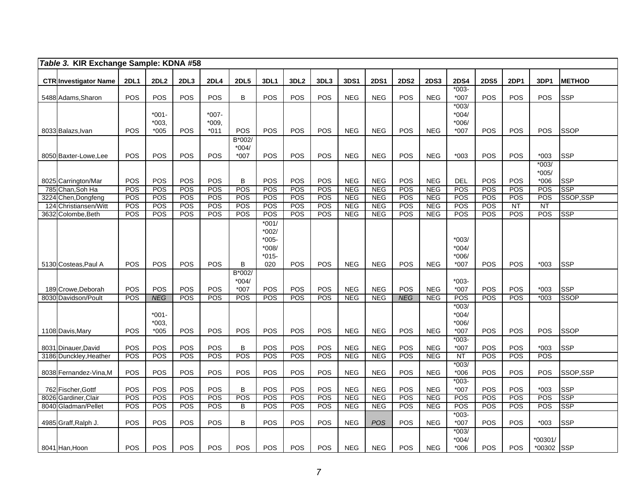|      | Table 3. KIR Exchange Sample: KDNA #58    |                   |                              |            |                            |                                      |                                                    |                  |                         |                          |                          |                   |                          |                                        |             |                          |                              |                           |
|------|-------------------------------------------|-------------------|------------------------------|------------|----------------------------|--------------------------------------|----------------------------------------------------|------------------|-------------------------|--------------------------|--------------------------|-------------------|--------------------------|----------------------------------------|-------------|--------------------------|------------------------------|---------------------------|
|      | <b>CTR Investigator Name</b>              | <b>2DL1</b>       | 2DL <sub>2</sub>             | 2DL3       | <b>2DL4</b>                | <b>2DL5</b>                          | 3DL1                                               | 3DL <sub>2</sub> | 3DL3                    | 3DS1                     | <b>2DS1</b>              | <b>2DS2</b>       | <b>2DS3</b>              | <b>2DS4</b>                            | <b>2DS5</b> | 2DP1                     | 3DP1                         | <b>METHOD</b>             |
|      | 5488 Adams, Sharon                        | POS               | POS                          | POS        | POS                        | B                                    | POS                                                | POS              | POS                     | <b>NEG</b>               | <b>NEG</b>               | POS               | <b>NEG</b>               | $*003-$<br>$*007$                      | POS         | <b>POS</b>               | <b>POS</b>                   | <b>SSP</b>                |
|      | 8033 Balazs, Ivan                         | POS               | $*001-$<br>$*003,$<br>$*005$ | POS        | $*007-$<br>*009,<br>$*011$ | POS                                  | POS                                                | POS              | <b>POS</b>              | <b>NEG</b>               | <b>NEG</b>               | <b>POS</b>        | <b>NEG</b>               | $*003/$<br>$*004/$<br>*006/<br>*007    | POS         | <b>POS</b>               | <b>POS</b>                   | <b>SSOP</b>               |
|      | 8050 Baxter-Lowe, Lee                     | POS               | POS                          | POS        | POS                        | B*002/<br>$*004/$<br>$*007$          | <b>POS</b>                                         | POS              | <b>POS</b>              | <b>NEG</b>               | <b>NEG</b>               | POS               | <b>NEG</b>               | $*003$                                 | POS         | <b>POS</b>               | $*003$                       | <b>SSP</b>                |
|      | 8025 Carrington/Mar                       | POS               | POS                          | POS        | <b>POS</b>                 | B                                    | POS                                                | POS              | POS                     | <b>NEG</b>               | <b>NEG</b>               | POS               | <b>NEG</b>               | <b>DEL</b>                             | POS         | POS                      | $*003/$<br>$*005/$<br>$*006$ | <b>SSP</b>                |
|      | 785 Chan, Soh Ha                          | POS               | POS                          | POS        | POS                        | POS                                  | POS                                                | POS              | POS                     | <b>NEG</b>               | <b>NEG</b>               | POS               | <b>NEG</b>               | POS                                    | POS         | POS                      | POS                          | SSP                       |
| 3224 | Chen, Dongfeng<br>Christiansen/Witt       | POS<br>POS        | POS<br>POS                   | POS<br>POS | POS<br>POS                 | POS<br>POS                           | POS<br>POS                                         | POS<br>POS       | POS<br>POS              | <b>NEG</b><br><b>NEG</b> | <b>NEG</b><br><b>NEG</b> | POS<br><b>POS</b> | <b>NEG</b><br><b>NEG</b> | POS<br>POS                             | POS<br>POS  | <b>POS</b><br><b>NT</b>  | POS<br>$\overline{NT}$       | SSOP, SSP                 |
| 124  | 3632 Colombe, Beth                        | POS               | POS                          | POS        | <b>POS</b>                 | <b>POS</b>                           | POS                                                | <b>POS</b>       | POS                     | <b>NEG</b>               | <b>NEG</b>               | <b>POS</b>        | <b>NEG</b>               | <b>POS</b>                             | POS         | POS                      | POS                          | <b>SSP</b>                |
|      |                                           |                   |                              |            |                            |                                      | $*001/$<br>$*002/$<br>$*005$<br>$*008/$<br>$*015-$ |                  |                         |                          |                          |                   |                          | $*003/$<br>$*004/$<br>$*006/$          |             |                          |                              |                           |
|      | 5130 Costeas, Paul A                      | <b>POS</b>        | <b>POS</b>                   | POS        | <b>POS</b>                 | B                                    | 020                                                | <b>POS</b>       | POS                     | <b>NEG</b>               | <b>NEG</b>               | POS               | <b>NEG</b>               | $*007$                                 | POS         | <b>POS</b>               | $*003$                       | <b>SSP</b>                |
|      | 189 Crowe, Deborah<br>8030 Davidson/Poult | POS<br><b>POS</b> | POS<br><b>NEG</b>            | POS<br>POS | POS<br>POS                 | $B*002/$<br>$*004/$<br>$*007$<br>POS | POS<br>$\overline{POS}$                            | POS<br>POS       | POS<br>$\overline{POS}$ | <b>NEG</b><br><b>NEG</b> | <b>NEG</b><br><b>NEG</b> | POS<br><b>NEG</b> | <b>NEG</b><br><b>NEG</b> | $*003-$<br>*007<br>$\overline{POS}$    | POS<br>POS  | POS<br><b>POS</b>        | $*003$<br>$*003$             | <b>SSP</b><br><b>SSOP</b> |
|      | 1108 Davis, Mary                          | POS               | $*001 -$<br>*003.<br>$*005$  | <b>POS</b> | POS                        | POS                                  | POS                                                | POS              | POS                     | <b>NEG</b>               | <b>NEG</b>               | POS               | <b>NEG</b>               | $*003/$<br>$*004/$<br>*006/<br>*007    | POS         | POS                      | POS                          | <b>SSOP</b>               |
|      | 8031 Dinauer, David                       | POS               | POS                          | POS        | POS                        | B                                    | POS                                                | POS              | POS                     | <b>NEG</b>               | <b>NEG</b>               | POS               | <b>NEG</b>               | $*003-$<br>$*007$                      | <b>POS</b>  | POS                      | $*003$                       | <b>SSP</b>                |
|      | 3186 Dunckley, Heather                    | POS               | POS                          | POS        | POS                        | POS                                  | POS                                                | POS              | <b>POS</b>              | <b>NEG</b>               | <b>NEG</b>               | POS               | <b>NEG</b>               | <b>NT</b>                              | POS         | POS                      | POS                          |                           |
|      | 8038 Fernandez-Vina, M                    | POS               | POS                          | POS        | POS                        | POS                                  | POS                                                | <b>POS</b>       | <b>POS</b>              | <b>NEG</b>               | <b>NEG</b>               | <b>POS</b>        | <b>NEG</b>               | $*003/$<br>$*006$                      | POS         | <b>POS</b>               | POS                          | SSOP,SSP                  |
|      | 762 Fischer, Gottf                        | POS               | POS                          | POS        | POS                        | B                                    | POS                                                | POS              | POS                     | <b>NEG</b>               | <b>NEG</b>               | POS               | <b>NEG</b>               | $*003-$<br>$*007$                      | POS         | POS                      | $*003$                       | <b>SSP</b>                |
|      | 8026 Gardiner, Clair                      | POS               | POS                          | POS        | POS                        | POS                                  | POS                                                | POS              | POS                     | <b>NEG</b>               | <b>NEG</b>               | <b>POS</b>        | <b>NEG</b>               | POS                                    | POS         | <b>POS</b>               | POS                          | <b>SSP</b>                |
|      | 8040 Gladman/Pellet                       | POS               | POS                          | POS        | POS                        | $\overline{B}$                       | POS                                                | POS              | POS                     | <b>NEG</b>               | <b>NEG</b>               | <b>POS</b>        | <b>NEG</b>               | POS<br>$*003-$                         | POS         | POS                      | POS                          | SSP                       |
|      | 4985 Graff, Ralph J.<br>8041 Han, Hoon    | POS<br>POS        | POS<br>POS                   | POS<br>POS | POS<br>POS                 | B<br>POS                             | POS<br><b>POS</b>                                  | POS<br>POS       | POS<br>POS              | <b>NEG</b><br><b>NEG</b> | <b>POS</b><br><b>NEG</b> | POS<br>POS        | <b>NEG</b><br><b>NEG</b> | $*007$<br>$*003/$<br>$*004/$<br>$*006$ | POS<br>POS  | <b>POS</b><br><b>POS</b> | $*003$<br>*00301/<br>*00302  | <b>SSP</b><br><b>SSP</b>  |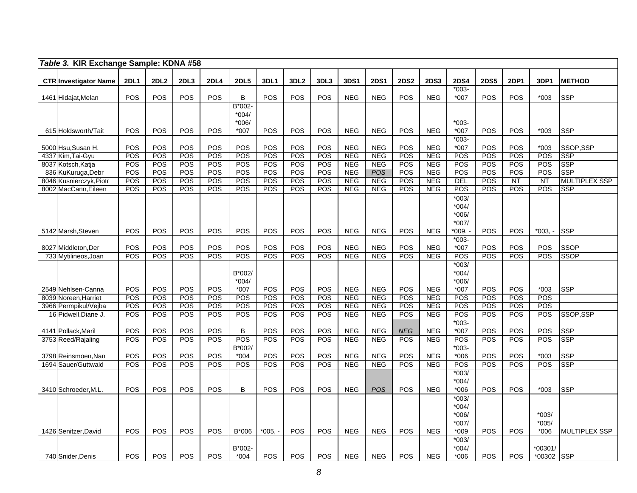|      | Table 3. KIR Exchange Sample: KDNA #58      |                   |                   |                   |                          |                   |                   |                   |            |                          |                          |                          |                          |                   |                   |                               |                  |                                    |
|------|---------------------------------------------|-------------------|-------------------|-------------------|--------------------------|-------------------|-------------------|-------------------|------------|--------------------------|--------------------------|--------------------------|--------------------------|-------------------|-------------------|-------------------------------|------------------|------------------------------------|
|      | <b>CTR Investigator Name</b>                | <b>2DL1</b>       | 2DL2              | 2DL3              | <b>2DL4</b>              | <b>2DL5</b>       | 3DL1              | 3DL <sub>2</sub>  | 3DL3       | 3DS1                     | <b>2DS1</b>              | <b>2DS2</b>              | <b>2DS3</b>              | <b>2DS4</b>       | <b>2DS5</b>       | 2DP1                          | 3DP1             | <b>METHOD</b>                      |
|      |                                             |                   |                   |                   |                          |                   |                   |                   |            |                          |                          |                          |                          | $*003-$           |                   |                               |                  |                                    |
|      | 1461 Hidajat, Melan                         | POS               | POS               | <b>POS</b>        | POS                      | B                 | POS               | POS               | POS        | <b>NEG</b>               | <b>NEG</b>               | POS                      | <b>NEG</b>               | $*007$            | POS               | <b>POS</b>                    | $*003$           | <b>SSP</b>                         |
|      |                                             |                   |                   |                   |                          | B*002-            |                   |                   |            |                          |                          |                          |                          |                   |                   |                               |                  |                                    |
|      |                                             |                   |                   |                   |                          | $*004/$           |                   |                   |            |                          |                          |                          |                          |                   |                   |                               |                  |                                    |
|      | 615 Holdsworth/Tait                         | POS               | POS               | POS               | POS                      | $*006/$<br>$*007$ | POS               | POS               | POS        | <b>NEG</b>               | <b>NEG</b>               | POS                      | <b>NEG</b>               | $*003-$<br>*007   | POS               | POS                           | $*003$           | <b>SSP</b>                         |
|      |                                             |                   |                   |                   |                          |                   |                   |                   |            |                          |                          |                          |                          | $*003-$           |                   |                               |                  |                                    |
|      | 5000 Hsu, Susan H.                          | POS               | POS               | POS               | POS                      | POS               | POS               | POS               | POS        | <b>NEG</b>               | <b>NEG</b>               | POS                      | <b>NEG</b>               | *007              | POS               | POS                           | $*003$           | SSOP,SSP                           |
|      | 4337 Kim, Tai-Gyu                           | POS               | POS               | POS               | POS                      | POS               | POS               | <b>POS</b>        | POS        | <b>NEG</b>               | <b>NEG</b>               | <b>POS</b>               | <b>NEG</b>               | POS               | POS               | POS                           | POS              | <b>SSP</b>                         |
| 8037 | Kotsch, Katja                               | POS               | POS               | POS               | POS                      | POS               | POS               | POS               | POS        | <b>NEG</b>               | <b>NEG</b>               | <b>POS</b>               | <b>NEG</b>               | POS               | POS               | POS                           | POS              | <b>SSP</b>                         |
| 836  | KuKuruga, Debr                              | POS               | POS               | POS               | POS                      | POS               | POS               | <b>POS</b>        | POS        | <b>NEG</b>               | <b>POS</b>               | POS                      | <b>NEG</b>               | POS               | POS               | POS                           | POS              | <b>SSP</b>                         |
| 8002 | 8046 Kusnierczyk, Piotr                     | <b>POS</b><br>POS | <b>POS</b><br>POS | <b>POS</b><br>POS | <b>POS</b><br><b>POS</b> | <b>POS</b><br>POS | <b>POS</b><br>POS | <b>POS</b><br>POS | POS<br>POS | <b>NEG</b><br><b>NEG</b> | <b>NEG</b><br><b>NEG</b> | <b>POS</b><br><b>POS</b> | <b>NEG</b><br><b>NEG</b> | DEL<br>POS        | POS<br><b>POS</b> | $\overline{\text{NT}}$<br>POS | <b>NT</b><br>POS | <b>MULTIPLEX SSP</b><br><b>SSP</b> |
|      | MacCann, Eileen                             |                   |                   |                   |                          |                   |                   |                   |            |                          |                          |                          |                          | $*003/$           |                   |                               |                  |                                    |
|      |                                             |                   |                   |                   |                          |                   |                   |                   |            |                          |                          |                          |                          | $*004/$           |                   |                               |                  |                                    |
|      |                                             |                   |                   |                   |                          |                   |                   |                   |            |                          |                          |                          |                          | *006/             |                   |                               |                  |                                    |
|      |                                             |                   |                   |                   |                          |                   |                   |                   |            |                          |                          |                          |                          | $*007/$           |                   |                               |                  |                                    |
|      | 5142 Marsh, Steven                          | POS               | POS               | POS               | POS                      | <b>POS</b>        | POS               | <b>POS</b>        | POS        | <b>NEG</b>               | <b>NEG</b>               | POS                      | <b>NEG</b>               | *009, -           | POS               | <b>POS</b>                    | $*003. -$        | <b>SSP</b>                         |
|      |                                             |                   |                   |                   |                          |                   |                   |                   |            |                          |                          |                          |                          | $*003-$           |                   |                               |                  |                                    |
|      | 8027 Middleton, Der<br>733 Mytilineos, Joan | POS<br>POS        | POS<br>POS        | POS<br>POS        | POS<br>POS               | POS<br>POS        | POS<br>POS        | POS<br>POS        | POS<br>POS | <b>NEG</b><br><b>NEG</b> | <b>NEG</b><br><b>NEG</b> | POS<br>POS               | <b>NEG</b><br><b>NEG</b> | *007<br>POS       | POS<br>POS        | POS<br><b>POS</b>             | POS<br>POS       | <b>SSOP</b><br><b>SSOP</b>         |
|      |                                             |                   |                   |                   |                          |                   |                   |                   |            |                          |                          |                          |                          | $*003/$           |                   |                               |                  |                                    |
|      |                                             |                   |                   |                   |                          | B*002/            |                   |                   |            |                          |                          |                          |                          | $*004/$           |                   |                               |                  |                                    |
|      |                                             |                   |                   |                   |                          | $*004/$           |                   |                   |            |                          |                          |                          |                          | $*006/$           |                   |                               |                  |                                    |
|      | 2549 Nehlsen-Canna                          | POS               | POS               | POS               | POS                      | $*007$            | POS               | POS               | POS        | <b>NEG</b>               | <b>NEG</b>               | POS                      | <b>NEG</b>               | *007              | POS               | POS                           | $*003$           | <b>SSP</b>                         |
|      | 8039 Noreen, Harriet                        | POS               | POS               | POS               | POS                      | POS               | POS               | POS               | POS        | <b>NEG</b>               | <b>NEG</b>               | POS                      | <b>NEG</b>               | POS               | POS               | <b>POS</b>                    | POS              |                                    |
|      | 3966 Permpikul/Vejba                        | POS               | POS               | POS               | <b>POS</b>               | POS               | POS               | POS               | POS        | <b>NEG</b>               | <b>NEG</b>               | POS                      | <b>NEG</b>               | POS               | POS               | POS                           | POS              |                                    |
|      | 16 Pidwell, Diane J.                        | POS               | POS               | POS               | POS                      | POS               | POS               | POS               | POS        | <b>NEG</b>               | <b>NEG</b>               | POS                      | <b>NEG</b>               | POS<br>$*003-$    | POS               | POS                           | POS              | SSOP, SSP                          |
|      | 4141 Pollack, Maril                         | POS               | POS               | POS               | POS                      | B                 | POS               | POS               | POS        | <b>NEG</b>               | <b>NEG</b>               | <b>NEG</b>               | <b>NEG</b>               | *007              | POS               | POS                           | POS              | <b>SSP</b>                         |
|      | 3753 Reed/Rajaling                          | POS               | POS               | <b>POS</b>        | POS                      | POS               | POS               | POS               | POS        | <b>NEG</b>               | <b>NEG</b>               | $\overline{POS}$         | <b>NEG</b>               | POS               | POS               | POS                           | POS              | <b>SSP</b>                         |
|      |                                             |                   |                   |                   |                          | B*002/            |                   |                   |            |                          |                          |                          |                          | $*003-$           |                   |                               |                  |                                    |
|      | 3798 Reinsmoen, Nan                         | POS               | POS               | POS               | POS                      | $*004$            | POS               | POS               | POS        | <b>NEG</b>               | <b>NEG</b>               | POS                      | <b>NEG</b>               | $*006$            | POS               | POS                           | $*003$           | <b>SSP</b>                         |
|      | 1694 Sauer/Guttwald                         | <b>POS</b>        | POS               | POS               | POS                      | POS               | POS               | POS               | POS        | <b>NEG</b>               | <b>NEG</b>               | POS                      | <b>NEG</b>               | POS               | POS               | POS                           | POS              | SSP                                |
|      |                                             |                   |                   |                   |                          |                   |                   |                   |            |                          |                          |                          |                          | $*003/$           |                   |                               |                  |                                    |
|      | 3410 Schroeder, M.L.                        | POS               | POS               | POS               | POS                      | B                 | POS               | POS               | <b>POS</b> | <b>NEG</b>               | <b>POS</b>               | POS                      | <b>NEG</b>               | $*004/$<br>$*006$ | POS               | POS                           | $*003$           | <b>SSP</b>                         |
|      |                                             |                   |                   |                   |                          |                   |                   |                   |            |                          |                          |                          |                          | $*003/$           |                   |                               |                  |                                    |
|      |                                             |                   |                   |                   |                          |                   |                   |                   |            |                          |                          |                          |                          | $*004/$           |                   |                               |                  |                                    |
|      |                                             |                   |                   |                   |                          |                   |                   |                   |            |                          |                          |                          |                          | *006/             |                   |                               | $*003/$          |                                    |
|      |                                             |                   |                   |                   |                          |                   |                   |                   |            |                          |                          |                          |                          | $*007/$           |                   |                               | $*005/$          |                                    |
|      | 1426 Senitzer, David                        | POS               | POS               | POS               | POS                      | B*006             | $*005, -$         | POS               | POS        | <b>NEG</b>               | <b>NEG</b>               | POS                      | <b>NEG</b>               | $*009$            | POS               | <b>POS</b>                    | $*006$           | MULTIPLEX SSP                      |
|      |                                             |                   |                   |                   |                          |                   |                   |                   |            |                          |                          |                          |                          | $*003/$           |                   |                               |                  |                                    |
|      |                                             |                   |                   |                   |                          | B*002-            |                   |                   |            |                          |                          |                          |                          | $*004/$           |                   |                               | *00301/          |                                    |
|      | 740 Snider, Denis                           | POS               | POS               | POS               | POS                      | $*004$            | <b>POS</b>        | POS               | POS        | <b>NEG</b>               | <b>NEG</b>               | <b>POS</b>               | <b>NEG</b>               | $*006$            | POS               | POS                           | *00302           | <b>SSP</b>                         |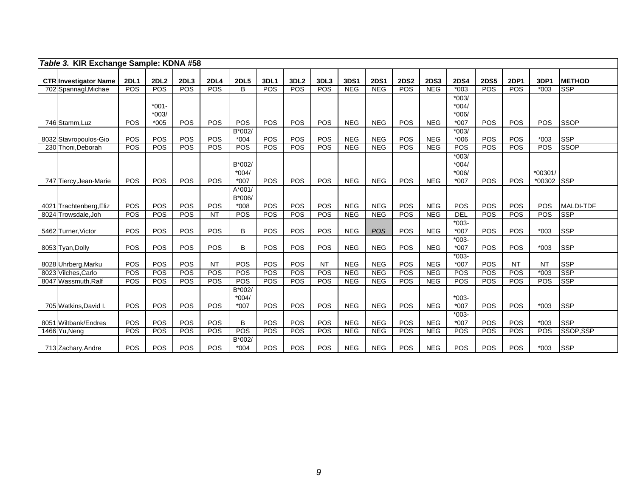| Table 3. KIR Exchange Sample: KDNA #58      |             |                     |            |                   |                                    |            |                  |            |                          |                          |             |                          |                                       |             |                   |                     |                          |
|---------------------------------------------|-------------|---------------------|------------|-------------------|------------------------------------|------------|------------------|------------|--------------------------|--------------------------|-------------|--------------------------|---------------------------------------|-------------|-------------------|---------------------|--------------------------|
| <b>CTR Investigator Name</b>                | <b>2DL1</b> | 2DL2                | 2DL3       | 2DL4              | <b>2DL5</b>                        | 3DL1       | 3DL <sub>2</sub> | 3DL3       | 3DS1                     | <b>2DS1</b>              | <b>2DS2</b> | <b>2DS3</b>              | <b>2DS4</b>                           | <b>2DS5</b> | <b>2DP1</b>       | 3DP1                | <b>METHOD</b>            |
| 702 Spannagl, Michae                        | POS         | POS                 | <b>POS</b> | <b>POS</b>        | B                                  | <b>POS</b> | POS              | POS        | <b>NEG</b>               | <b>NEG</b>               | POS         | <b>NEG</b>               | $*003$                                | POS         | <b>POS</b>        | $*003$              | <b>SSP</b>               |
|                                             |             | $*001 -$<br>$*003/$ |            |                   |                                    |            |                  |            |                          |                          |             |                          | $*003/$<br>$*004/$<br>$*006/$         |             |                   |                     |                          |
| 746 Stamm, Luz                              | POS         | $*005$              | POS        | POS               | POS                                | POS        | <b>POS</b>       | <b>POS</b> | <b>NEG</b>               | <b>NEG</b>               | POS         | <b>NEG</b>               | *007                                  | POS         | <b>POS</b>        | <b>POS</b>          | <b>SSOP</b>              |
| 8032 Stavropoulos-Gio                       | POS         | POS                 | POS        | POS               | B*002/<br>$*004$                   | POS        | POS              | POS        | <b>NEG</b>               | <b>NEG</b>               | POS         | <b>NEG</b>               | $*003/$<br>$*006$                     | POS         | POS               | $*003$              | <b>SSP</b>               |
| 230 Thoni.Deborah                           | POS         | POS                 | <b>POS</b> | <b>POS</b>        | POS                                | POS        | <b>POS</b>       | <b>POS</b> | NEG                      | NEG                      | POS         | NEG                      | POS                                   | POS         | POS               | <b>POS</b>          | <b>SSOP</b>              |
| 747 Tiercy, Jean-Marie                      | POS         | POS                 | POS        | <b>POS</b>        | B*002/<br>$*004/$<br>$*007$        | POS        | POS              | <b>POS</b> | <b>NEG</b>               | <b>NEG</b>               | POS         | <b>NEG</b>               | $*003/$<br>$*004/$<br>$*006/$<br>*007 | POS         | <b>POS</b>        | $*00301/$<br>*00302 | <b>SSP</b>               |
| 4021 Trachtenberg, Eliz                     | POS         | <b>POS</b>          | POS        | POS               | $A*001/$<br>B*006/<br>$*008$       | POS        | <b>POS</b>       | POS        | <b>NEG</b>               | <b>NEG</b>               | POS         | <b>NEG</b>               | <b>POS</b>                            | POS         | POS               | POS                 | MALDI-TDF                |
| 8024 Trowsdale, Joh                         | POS         | POS                 | POS        | <b>NT</b>         | POS                                | POS        | POS              | POS        | <b>NEG</b>               | <b>NEG</b>               | POS         | <b>NEG</b>               | <b>DEL</b>                            | POS         | <b>POS</b>        | POS                 | <b>SSP</b>               |
| 5462 Turner, Victor                         | POS         | POS                 | POS        | POS               | B                                  | POS        | POS              | POS        | <b>NEG</b>               | <b>POS</b>               | POS         | <b>NEG</b>               | $*003-$<br>$*007$                     | POS         | POS               | $*003$              | <b>SSP</b>               |
| 8053 Tyan, Dolly                            | POS         | POS                 | POS        | <b>POS</b>        | B                                  | POS        | POS              | POS        | <b>NEG</b>               | <b>NEG</b>               | POS         | <b>NEG</b>               | $*003-$<br>*007                       | POS         | POS               | $*003$              | <b>SSP</b>               |
| 8028 Uhrberg, Marku                         | POS         | POS                 | POS        | <b>NT</b>         | POS                                | POS        | POS              | <b>NT</b>  | <b>NEG</b>               | <b>NEG</b>               | POS         | <b>NEG</b>               | $*003-$<br>*007                       | POS         | <b>NT</b>         | <b>NT</b>           | <b>SSP</b>               |
| 8023 Vilches.Carlo                          | POS         | POS                 | <b>POS</b> | <b>POS</b>        | <b>POS</b>                         | <b>POS</b> | <b>POS</b>       | <b>POS</b> | NEG                      | NEG                      | POS         | <b>NEG</b>               | <b>POS</b>                            | POS         | POS               | $*003$              | <b>SSP</b>               |
| 8047 Wassmuth.Ralf<br>705 Watkins, David I. | POS<br>POS  | POS<br>POS          | POS<br>POS | <b>POS</b><br>POS | POS<br>B*002/<br>$*004/$<br>$*007$ | POS<br>POS | POS<br>POS       | POS<br>POS | <b>NEG</b><br><b>NEG</b> | <b>NEG</b><br><b>NEG</b> | POS<br>POS  | <b>NEG</b><br><b>NEG</b> | POS<br>$*003-$<br>$*007$              | POS<br>POS  | <b>POS</b><br>POS | POS<br>$*003$       | <b>SSP</b><br><b>SSP</b> |
| 8051 Wiltbank/Endres                        | POS         | POS                 | POS        | <b>POS</b>        | B                                  | POS        | POS              | POS        | <b>NEG</b>               | <b>NEG</b>               | POS         | <b>NEG</b>               | $*003-$<br>$*007$                     | POS         | POS               | $*003$              | <b>SSP</b>               |
| 1466 Yu, Neng                               | POS         | POS                 | POS        | <b>POS</b>        | POS                                | POS        | POS              | POS        | <b>NEG</b>               | <b>NEG</b>               | POS         | <b>NEG</b>               | POS                                   | POS         | <b>POS</b>        | POS                 | SSOP,SSP                 |
| 713 Zachary, Andre                          | POS         | POS                 | POS        | POS               | B*002/<br>$*004$                   | POS        | POS              | POS        | <b>NEG</b>               | <b>NEG</b>               | POS         | <b>NEG</b>               | POS                                   | POS         | <b>POS</b>        | $*003$              | <b>SSP</b>               |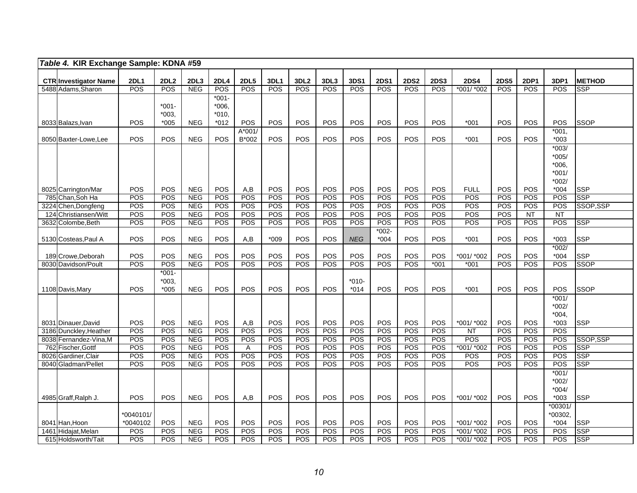| <b>2DL1</b><br>2DL2<br><b>2DL5</b><br>3DL3<br><b>2DS5</b><br><b>CTR</b> Investigator Name<br>2DL3<br><b>2DL4</b><br>3DL1<br>3DL <sub>2</sub><br>3DS1<br><b>2DS1</b><br><b>2DS2</b><br><b>2DS3</b><br><b>2DS4</b><br>2DP1<br>3DP1<br><b>METHOD</b><br>POS<br>POS<br><b>POS</b><br><b>NEG</b><br>POS<br>POS<br><b>POS</b><br><b>POS</b><br>POS<br>POS<br><b>POS</b><br>POS<br>*001/ *002<br>POS<br>POS<br>POS<br>5488 Adams, Sharon<br><b>SSP</b><br>$*001 -$<br>$*001-$<br>$*006,$<br>$*010.$<br>*003.<br>POS<br><b>NEG</b><br>POS<br><b>POS</b><br>POS<br>POS<br>POS<br>POS<br>POS<br>POS<br>POS<br><b>POS</b><br>POS<br><b>SSOP</b><br>8033 Balazs, Ivan<br>$*005$<br>$*012$<br>$*001$ |  |
|-----------------------------------------------------------------------------------------------------------------------------------------------------------------------------------------------------------------------------------------------------------------------------------------------------------------------------------------------------------------------------------------------------------------------------------------------------------------------------------------------------------------------------------------------------------------------------------------------------------------------------------------------------------------------------------------|--|
|                                                                                                                                                                                                                                                                                                                                                                                                                                                                                                                                                                                                                                                                                         |  |
|                                                                                                                                                                                                                                                                                                                                                                                                                                                                                                                                                                                                                                                                                         |  |
|                                                                                                                                                                                                                                                                                                                                                                                                                                                                                                                                                                                                                                                                                         |  |
|                                                                                                                                                                                                                                                                                                                                                                                                                                                                                                                                                                                                                                                                                         |  |
|                                                                                                                                                                                                                                                                                                                                                                                                                                                                                                                                                                                                                                                                                         |  |
|                                                                                                                                                                                                                                                                                                                                                                                                                                                                                                                                                                                                                                                                                         |  |
| A*001/<br>$*001,$                                                                                                                                                                                                                                                                                                                                                                                                                                                                                                                                                                                                                                                                       |  |
| POS<br>POS<br><b>NEG</b><br>POS<br>POS<br>POS<br>POS<br>POS<br>POS<br>POS<br><b>POS</b><br><b>POS</b><br>$*003$<br>8050 Baxter-Lowe, Lee<br>B*002<br><b>POS</b><br>$*001$                                                                                                                                                                                                                                                                                                                                                                                                                                                                                                               |  |
| $*003/$                                                                                                                                                                                                                                                                                                                                                                                                                                                                                                                                                                                                                                                                                 |  |
| $*005/$                                                                                                                                                                                                                                                                                                                                                                                                                                                                                                                                                                                                                                                                                 |  |
| $*006,$                                                                                                                                                                                                                                                                                                                                                                                                                                                                                                                                                                                                                                                                                 |  |
| $*001/$                                                                                                                                                                                                                                                                                                                                                                                                                                                                                                                                                                                                                                                                                 |  |
| $*002/$                                                                                                                                                                                                                                                                                                                                                                                                                                                                                                                                                                                                                                                                                 |  |
| POS<br>POS<br>POS<br><b>POS</b><br>POS<br>POS<br><b>POS</b><br>POS<br>POS<br>POS<br><b>POS</b><br><b>FULL</b><br>POS<br>$*004$<br><b>SSP</b><br>8025 Carrington/Mar<br><b>NEG</b><br>A,B                                                                                                                                                                                                                                                                                                                                                                                                                                                                                                |  |
| POS<br>POS<br><b>SSP</b><br>POS<br>POS<br><b>NEG</b><br>POS<br>POS<br>POS<br>POS<br>POS<br>POS<br>POS<br>POS<br>785 Chan, Soh Ha<br><b>POS</b><br>POS<br>POS                                                                                                                                                                                                                                                                                                                                                                                                                                                                                                                            |  |
| POS<br>POS<br>POS<br>POS<br>POS<br>POS<br>POS<br>POS<br>POS<br>POS<br>POS<br>POS<br><b>POS</b><br>POS<br>3224 Chen, Dongfeng<br><b>NEG</b><br>POS<br>SSOP, SSP                                                                                                                                                                                                                                                                                                                                                                                                                                                                                                                          |  |
| POS<br>POS<br>124 Christiansen/Witt<br>POS<br><b>NEG</b><br>POS<br>POS<br>POS<br>POS<br><b>POS</b><br>POS<br>POS<br>POS<br>POS<br>POS<br>$\overline{NT}$<br><b>NT</b><br><b>POS</b><br>POS<br>POS<br>POS<br>POS<br><b>POS</b>                                                                                                                                                                                                                                                                                                                                                                                                                                                           |  |
| 3632 Colombe, Beth<br><b>POS</b><br><b>NEG</b><br><b>POS</b><br>POS<br><b>POS</b><br>POS<br>POS<br><b>POS</b><br><b>POS</b><br><b>POS</b><br><b>SSP</b><br>$*002 -$                                                                                                                                                                                                                                                                                                                                                                                                                                                                                                                     |  |
| POS<br>POS<br>POS<br><b>NEG</b><br>A,B<br>$*009$<br>POS<br>POS<br><b>NEG</b><br>$*004$<br>POS<br>POS<br>$*001$<br>POS<br>POS<br><b>SSP</b><br>$*003$<br>5130 Costeas, Paul A                                                                                                                                                                                                                                                                                                                                                                                                                                                                                                            |  |
| $*002/$                                                                                                                                                                                                                                                                                                                                                                                                                                                                                                                                                                                                                                                                                 |  |
| POS<br>POS<br>POS<br>POS<br>POS<br>POS<br>POS<br>POS<br><b>NEG</b><br>POS<br>POS<br>POS<br>*001/ *002<br>POS<br><b>POS</b><br>$*004$<br><b>SSP</b><br>189 Crowe, Deborah                                                                                                                                                                                                                                                                                                                                                                                                                                                                                                                |  |
| <b>SSOP</b><br><b>POS</b><br>POS<br><b>NEG</b><br>POS<br><b>POS</b><br>POS<br>POS<br>POS<br>POS<br>POS<br>POS<br>$*001$<br>$*001$<br>POS<br>POS<br>POS<br>8030 Davidson/Poult                                                                                                                                                                                                                                                                                                                                                                                                                                                                                                           |  |
| $*001-$                                                                                                                                                                                                                                                                                                                                                                                                                                                                                                                                                                                                                                                                                 |  |
| $*003.$<br>$*010-$                                                                                                                                                                                                                                                                                                                                                                                                                                                                                                                                                                                                                                                                      |  |
| POS<br>POS<br><b>SSOP</b><br>POS<br><b>NEG</b><br>POS<br>POS<br><b>POS</b><br>POS<br>POS<br>POS<br>POS<br>$*001$<br><b>POS</b><br>POS<br>1108 Davis, Mary<br>$*005$<br>$*014$                                                                                                                                                                                                                                                                                                                                                                                                                                                                                                           |  |
| $*001/$                                                                                                                                                                                                                                                                                                                                                                                                                                                                                                                                                                                                                                                                                 |  |
| $*002/$                                                                                                                                                                                                                                                                                                                                                                                                                                                                                                                                                                                                                                                                                 |  |
| $*004,$                                                                                                                                                                                                                                                                                                                                                                                                                                                                                                                                                                                                                                                                                 |  |
| POS<br>POS<br>POS<br>POS<br>POS<br><b>NEG</b><br>POS<br>A,B<br>POS<br>POS<br>POS<br>POS<br>POS<br>POS<br>$*003$<br><b>SSP</b><br>8031 Dinauer, David<br>*001/ *002                                                                                                                                                                                                                                                                                                                                                                                                                                                                                                                      |  |
| POS<br>POS<br>POS<br>POS<br>POS<br>POS<br>POS<br>POS<br>POS<br>POS<br>POS<br>POS<br>POS<br>3186 Dunckley, Heather<br><b>NEG</b><br>POS<br>NT                                                                                                                                                                                                                                                                                                                                                                                                                                                                                                                                            |  |
| POS<br>POS<br>POS<br><b>NEG</b><br>POS<br>POS<br>POS<br>POS<br>POS<br>POS<br>POS<br>POS<br>POS<br>POS<br>POS<br>POS<br>SSOP, SSP<br>8038 Fernandez-Vina, M                                                                                                                                                                                                                                                                                                                                                                                                                                                                                                                              |  |
| POS<br>POS<br>POS<br><b>SSP</b><br>POS<br><b>NEG</b><br>POS<br>POS<br>POS<br>POS<br>POS<br>POS<br>POS<br>*001/ *002<br>POS<br>POS<br>762 Fischer, Gottf<br>A                                                                                                                                                                                                                                                                                                                                                                                                                                                                                                                            |  |
| POS<br>POS<br>POS<br>POS<br><b>SSP</b><br>POS<br><b>NEG</b><br>POS<br>POS<br>POS<br>POS<br>POS<br>POS<br>POS<br>POS<br>POS<br>POS<br>8026 Gardiner, Clair                                                                                                                                                                                                                                                                                                                                                                                                                                                                                                                               |  |
| POS<br>POS<br>POS<br>POS<br>POS<br>POS<br>POS<br>POS<br>POS<br>POS<br>POS<br><b>SSP</b><br>8040 Gladman/Pellet<br><b>NEG</b><br>POS<br>POS<br>POS<br>POS                                                                                                                                                                                                                                                                                                                                                                                                                                                                                                                                |  |
| $*001/$<br>$*002/$                                                                                                                                                                                                                                                                                                                                                                                                                                                                                                                                                                                                                                                                      |  |
| $*004/$                                                                                                                                                                                                                                                                                                                                                                                                                                                                                                                                                                                                                                                                                 |  |
| POS<br>POS<br>POS<br>POS<br><b>POS</b><br><b>NEG</b><br>POS<br>A,B<br>POS<br>POS<br>POS<br><b>POS</b><br><b>POS</b><br>*001/ *002<br><b>POS</b><br>$*003$<br><b>SSP</b><br>4985 Graff, Ralph J.                                                                                                                                                                                                                                                                                                                                                                                                                                                                                         |  |
| *00301/                                                                                                                                                                                                                                                                                                                                                                                                                                                                                                                                                                                                                                                                                 |  |
| *00302,<br>*0040101/                                                                                                                                                                                                                                                                                                                                                                                                                                                                                                                                                                                                                                                                    |  |
| POS<br>POS<br>POS<br>POS<br>POS<br>POS<br>POS<br>POS<br>POS<br>POS<br>POS<br>POS<br>$*004$<br><b>SSP</b><br>8041 Han, Hoon<br>*0040102<br><b>NEG</b><br>*001/ *002                                                                                                                                                                                                                                                                                                                                                                                                                                                                                                                      |  |
| <b>SSP</b><br>POS<br>POS<br>POS<br>POS<br>POS<br>POS<br>POS<br>POS<br>POS<br>POS<br>POS<br>POS<br>1461 Hidajat, Melan<br>POS<br><b>NEG</b><br>POS<br>*001/ *002                                                                                                                                                                                                                                                                                                                                                                                                                                                                                                                         |  |
| POS<br>POS<br><b>NEG</b><br>POS<br>POS<br>POS<br>POS<br>POS<br>POS<br>POS<br>POS<br>POS<br>POS<br>POS<br>POS<br><b>SSP</b><br>615 Holdsworth/Tait<br>*001/ *002                                                                                                                                                                                                                                                                                                                                                                                                                                                                                                                         |  |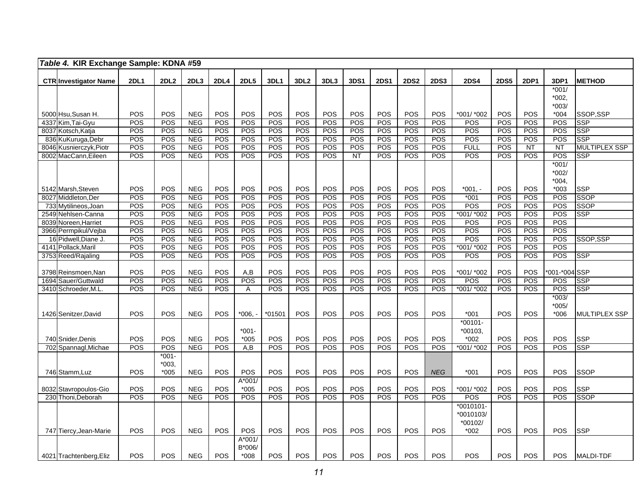|      | Table 4. KIR Exchange Sample: KDNA #59    |             |                  |                          |             |                  |            |                  |            |             |             |             |                  |                      |                  |            |               |                           |
|------|-------------------------------------------|-------------|------------------|--------------------------|-------------|------------------|------------|------------------|------------|-------------|-------------|-------------|------------------|----------------------|------------------|------------|---------------|---------------------------|
|      | <b>CTR Investigator Name</b>              | <b>2DL1</b> | 2DL <sub>2</sub> | 2DL3                     | <b>2DL4</b> | <b>2DL5</b>      | 3DL1       | 3DL <sub>2</sub> | 3DL3       | <b>3DS1</b> | <b>2DS1</b> | <b>2DS2</b> | <b>2DS3</b>      | <b>2DS4</b>          | <b>2DS5</b>      | 2DP1       | 3DP1          | <b>METHOD</b>             |
|      |                                           |             |                  |                          |             |                  |            |                  |            |             |             |             |                  |                      |                  |            | $*001/$       |                           |
|      |                                           |             |                  |                          |             |                  |            |                  |            |             |             |             |                  |                      |                  |            | *002,         |                           |
|      |                                           |             |                  |                          |             |                  |            |                  |            |             |             |             |                  |                      |                  |            | $*003/$       |                           |
|      | 5000 Hsu, Susan H.                        | POS         | POS              | <b>NEG</b>               | POS         | POS              | POS        | POS              | POS        | POS         | POS         | POS         | POS              | *001/ *002           | POS              | POS        | $*004$        | SSOP,SSP                  |
|      | 4337 Kim, Tai-Gyu                         | POS         | POS              | <b>NEG</b>               | POS         | POS              | POS        | POS              | <b>POS</b> | POS         | POS         | POS         | POS              | POS                  | POS              | POS        | POS           | <b>SSP</b>                |
|      | 8037 Kotsch, Katja                        | POS         | POS              | <b>NEG</b>               | POS         | <b>POS</b>       | POS        | POS              | POS        | POS         | POS         | POS         | POS              | POS                  | POS              | POS        | POS           | <b>SSP</b>                |
|      | 836 KuKuruga, Debr                        | POS         | POS              | <b>NEG</b>               | POS         | POS              | POS        | POS              | <b>POS</b> | POS         | POS         | POS         | POS              | POS                  | POS              | POS        | POS           | <b>SSP</b>                |
|      | 8046 Kusnierczyk, Piotr                   | <b>POS</b>  | POS              | <b>NEG</b>               | POS         | POS              | POS        | POS              | <b>POS</b> | POS         | POS         | POS         | POS              | <b>FULL</b>          | POS              | <b>NT</b>  | <b>NT</b>     | <b>MULTIPLEX SSP</b>      |
|      | 8002 MacCann, Eileen                      | POS         | POS              | <b>NEG</b>               | POS         | <b>POS</b>       | POS        | POS              | POS        | <b>NT</b>   | POS         | POS         | POS              | POS                  | POS              | POS        | POS           | <b>SSP</b>                |
|      |                                           |             |                  |                          |             |                  |            |                  |            |             |             |             |                  |                      |                  |            | $*001/$       |                           |
|      |                                           |             |                  |                          |             |                  |            |                  |            |             |             |             |                  |                      |                  |            | $*002/$       |                           |
|      |                                           |             |                  |                          |             |                  |            |                  |            |             |             |             |                  |                      |                  |            | $*004,$       |                           |
|      | 5142 Marsh, Steven<br>8027 Middleton, Der | POS<br>POS  | POS<br>POS       | <b>NEG</b><br><b>NEG</b> | POS<br>POS  | POS<br>POS       | POS<br>POS | POS<br>POS       | POS<br>POS | POS<br>POS  | POS<br>POS  | POS<br>POS  | POS<br>POS       | $*001. -$<br>$*001$  | POS<br>POS       | POS<br>POS | $*003$<br>POS | <b>SSP</b><br><b>SSOP</b> |
|      | 733 Mytilineos, Joan                      | <b>POS</b>  | POS              | <b>NEG</b>               | POS         | <b>POS</b>       | POS        | POS              | POS        | POS         | POS         | POS         | POS              | POS                  | POS              | POS        | POS           | <b>SSOP</b>               |
|      | 2549 Nehlsen-Canna                        | <b>POS</b>  | <b>POS</b>       | <b>NEG</b>               | <b>POS</b>  | POS              | POS        | POS              | <b>POS</b> | POS         | <b>POS</b>  | POS         | <b>POS</b>       | *001/ *002           | <b>POS</b>       | <b>POS</b> | POS           | <b>SSP</b>                |
|      | 8039 Noreen, Harriet                      | <b>POS</b>  | POS              | <b>NEG</b>               | POS         | POS              | POS        | POS              | POS        | POS         | POS         | POS         | $\overline{POS}$ | POS                  | POS              | POS        | POS           |                           |
|      | 3966 Permpikul/Vejba                      | POS         | POS              | <b>NEG</b>               | POS         | <b>POS</b>       | POS        | POS              | <b>POS</b> | POS         | POS         | POS         | POS              | POS                  | POS              | POS        | POS           |                           |
|      | 16 Pidwell, Diane J.                      | POS         | POS              | <b>NEG</b>               | POS         | POS              | POS        | POS              | POS        | POS         | POS         | POS         | POS              | POS                  | POS              | POS        | POS           | SSOP, SSP                 |
|      | 4141 Pollack, Maril                       | <b>POS</b>  | POS              | <b>NEG</b>               | POS         | POS              | POS        | POS              | <b>POS</b> | POS         | POS         | POS         | POS              | *001/ *002           | POS              | POS        | POS           |                           |
|      | 3753 Reed/Rajaling                        | <b>POS</b>  | POS              | <b>NEG</b>               | POS         | POS              | POS        | POS              | POS        | POS         | POS         | POS         | POS              | POS                  | POS              | POS        | POS           | <b>SSP</b>                |
|      |                                           |             |                  |                          |             |                  |            |                  |            |             |             |             |                  |                      |                  |            |               |                           |
|      | 3798 Reinsmoen, Nan                       | POS         | POS              | <b>NEG</b>               | POS         | A,B              | POS        | POS              | POS        | POS         | POS         | POS         | POS              | *001/ *002           | POS              | POS        | *001-*004 SSP |                           |
| 1694 | Sauer/Guttwald                            | POS         | POS              | <b>NEG</b>               | POS         | $\overline{POS}$ | POS        | POS              | POS        | POS         | POS         | POS         | $\overline{POS}$ | POS                  | $\overline{POS}$ | POS        | POS           | <b>SSP</b>                |
|      | 3410 Schroeder, M.L                       | POS         | <b>POS</b>       | <b>NEG</b>               | POS         | A                | POS        | POS              | <b>POS</b> | POS         | <b>POS</b>  | POS         | POS              | *001/ *002           | <b>POS</b>       | <b>POS</b> | POS           | <b>SSP</b>                |
|      |                                           |             |                  |                          |             |                  |            |                  |            |             |             |             |                  |                      |                  |            | $*003/$       |                           |
|      |                                           | POS         | <b>POS</b>       | <b>NEG</b>               | <b>POS</b>  |                  |            | POS              | <b>POS</b> | POS         | POS         | POS         | POS              |                      | POS              | POS        | $*005/$       |                           |
|      | 1426 Senitzer, David                      |             |                  |                          |             | *006.            | $*01501$   |                  |            |             |             |             |                  | $*001$<br>$*00101 -$ |                  |            | $*006$        | <b>MULTIPLEX SSP</b>      |
|      |                                           |             |                  |                          |             | $*001-$          |            |                  |            |             |             |             |                  | $*00103.$            |                  |            |               |                           |
|      | 740 Snider, Denis                         | POS         | POS              | <b>NEG</b>               | POS         | $*005$           | <b>POS</b> | POS              | POS        | POS         | POS         | POS         | POS              | $*002$               | POS              | POS        | POS           | <b>SSP</b>                |
|      | 702 Spannagl, Michae                      | POS         | POS              | <b>NEG</b>               | POS         | A,B              | POS        | POS              | POS        | POS         | POS         | POS         | POS              | *001/ *002           | POS              | POS        | POS           | <b>SSP</b>                |
|      |                                           |             | $*001-$          |                          |             |                  |            |                  |            |             |             |             |                  |                      |                  |            |               |                           |
|      |                                           |             | *003.            |                          |             |                  |            |                  |            |             |             |             |                  |                      |                  |            |               |                           |
|      | 746 Stamm, Luz                            | POS         | $*005$           | <b>NEG</b>               | POS         | POS              | POS        | POS              | <b>POS</b> | POS         | POS         | POS         | <b>NEG</b>       | $*001$               | POS              | POS        | POS           | <b>SSOP</b>               |
|      |                                           |             |                  |                          |             | $A*001/$         |            |                  |            |             |             |             |                  |                      |                  |            |               |                           |
|      | 8032 Stavropoulos-Gio                     | POS         | POS              | <b>NEG</b>               | <b>POS</b>  | $*005$           | POS        | POS              | POS        | POS         | POS         | POS         | POS              | *001/ *002           | POS              | POS        | POS           | <b>SSP</b>                |
|      | 230 Thoni, Deborah                        | <b>POS</b>  | <b>POS</b>       | <b>NEG</b>               | POS         | <b>POS</b>       | POS        | POS              | <b>POS</b> | POS         | POS         | <b>POS</b>  | POS              | <b>POS</b>           | POS              | POS        | POS           | <b>SSOP</b>               |
|      |                                           |             |                  |                          |             |                  |            |                  |            |             |             |             |                  | $*0010101 -$         |                  |            |               |                           |
|      |                                           |             |                  |                          |             |                  |            |                  |            |             |             |             |                  | *0010103/            |                  |            |               |                           |
|      |                                           |             |                  |                          |             |                  |            |                  |            |             |             |             |                  | *00102/              |                  |            |               |                           |
|      | 747 Tiercy, Jean-Marie                    | POS         | <b>POS</b>       | <b>NEG</b>               | <b>POS</b>  | POS              | <b>POS</b> | POS              | <b>POS</b> | POS         | POS         | <b>POS</b>  | POS              | $*002$               | POS              | <b>POS</b> | POS           | <b>SSP</b>                |
|      |                                           |             |                  |                          |             | $A*001/$         |            |                  |            |             |             |             |                  |                      |                  |            |               |                           |
|      | 4021 Trachtenberg, Eliz                   | POS         | <b>POS</b>       | <b>NEG</b>               | POS         | B*006/<br>$*008$ | <b>POS</b> | POS              | POS        | POS         | POS         | <b>POS</b>  | POS              | POS                  | POS              | POS        | POS           | <b>MALDI-TDF</b>          |
|      |                                           |             |                  |                          |             |                  |            |                  |            |             |             |             |                  |                      |                  |            |               |                           |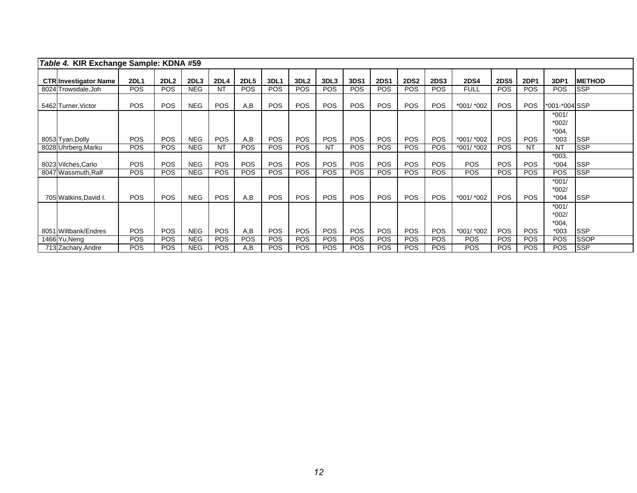| Table 4. KIR Exchange Sample: KDNA #59 |             |                  |                  |             |             |                 |                  |            |             |             |             |             |             |             |             |                              |               |
|----------------------------------------|-------------|------------------|------------------|-------------|-------------|-----------------|------------------|------------|-------------|-------------|-------------|-------------|-------------|-------------|-------------|------------------------------|---------------|
| <b>CTR Investigator Name</b>           | <b>2DL1</b> | 2DL <sub>2</sub> | 2DL <sub>3</sub> | <b>2DL4</b> | <b>2DL5</b> | 3DL1            | 3DL <sub>2</sub> | 3DL3       | <b>3DS1</b> | <b>2DS1</b> | <b>2DS2</b> | <b>2DS3</b> | <b>2DS4</b> | <b>2DS5</b> | <b>2DP1</b> | 3DP1                         | <b>METHOD</b> |
| 8024 Trowsdale, Joh                    | <b>POS</b>  | <b>POS</b>       | <b>NEG</b>       | <b>NT</b>   | <b>POS</b>  | <b>POS</b>      | <b>POS</b>       | <b>POS</b> | <b>POS</b>  | <b>POS</b>  | <b>POS</b>  | POS.        | <b>FULL</b> | <b>POS</b>  | <b>POS</b>  | <b>POS</b>                   | <b>SSP</b>    |
| 5462 Turner, Victor                    | <b>POS</b>  | <b>POS</b>       | <b>NEG</b>       | <b>POS</b>  | A,B         | PO <sub>S</sub> | <b>POS</b>       | <b>POS</b> | <b>POS</b>  | <b>POS</b>  | <b>POS</b>  | POS.        | *001/ *002  | POS.        | <b>POS</b>  | *001-*004 SSP                |               |
|                                        |             |                  |                  |             |             |                 |                  |            |             |             |             |             |             |             |             | $*001/$<br>$*002/$           |               |
| 8053 Tyan, Dolly                       | <b>POS</b>  | <b>POS</b>       | <b>NEG</b>       | <b>POS</b>  | A,B         | <b>POS</b>      | <b>POS</b>       | POS        | <b>POS</b>  | <b>POS</b>  | <b>POS</b>  | <b>POS</b>  | *001/ *002  | <b>POS</b>  | <b>POS</b>  | $*004$<br>$*003$             | <b>SSP</b>    |
| 8028 Uhrberg, Marku                    | <b>POS</b>  | <b>POS</b>       | <b>NEG</b>       | <b>NT</b>   | <b>POS</b>  | <b>POS</b>      | <b>POS</b>       | <b>NT</b>  | POS         | <b>POS</b>  | <b>POS</b>  | <b>POS</b>  | *001/ *002  | <b>POS</b>  | NT          | NT                           | <b>SSP</b>    |
| 8023 Vilches, Carlo                    | <b>POS</b>  | <b>POS</b>       | <b>NEG</b>       | <b>POS</b>  | <b>POS</b>  | <b>POS</b>      | POS              | POS        | <b>POS</b>  | <b>POS</b>  | <b>POS</b>  | <b>POS</b>  | <b>POS</b>  | <b>POS</b>  | <b>POS</b>  | $*003$<br>$*004$             | <b>SSP</b>    |
| 8047 Wassmuth, Ralf                    | <b>POS</b>  | <b>POS</b>       | <b>NEG</b>       | <b>POS</b>  | <b>POS</b>  | <b>POS</b>      | <b>POS</b>       | <b>POS</b> | <b>POS</b>  | <b>POS</b>  | <b>POS</b>  | POS.        | <b>POS</b>  | <b>POS</b>  | <b>POS</b>  | POS                          | <b>SSP</b>    |
| 705 Watkins, David I.                  | <b>POS</b>  | <b>POS</b>       | <b>NEG</b>       | <b>POS</b>  | A,B         | <b>POS</b>      | <b>POS</b>       | <b>POS</b> | <b>POS</b>  | <b>POS</b>  | <b>POS</b>  | <b>POS</b>  | *001/ *002  | <b>POS</b>  | <b>POS</b>  | $*001/$<br>$*002/$<br>$*004$ | <b>SSP</b>    |
|                                        |             |                  |                  |             |             |                 |                  |            |             |             |             |             |             |             |             | $*001/$<br>$*002/$<br>$*004$ |               |
| 8051 Wiltbank/Endres                   | <b>POS</b>  | <b>POS</b>       | <b>NEG</b>       | <b>POS</b>  | A,B         | <b>POS</b>      | <b>POS</b>       | <b>POS</b> | POS         | <b>POS</b>  | <b>POS</b>  | <b>POS</b>  | *001/ *002  | <b>POS</b>  | <b>POS</b>  | $*003$                       | <b>SSP</b>    |
| 1466 Yu, Neng                          | <b>POS</b>  | <b>POS</b>       | <b>NEG</b>       | <b>POS</b>  | <b>POS</b>  | POS             | <b>POS</b>       | POS        | POS         | <b>POS</b>  | <b>POS</b>  | <b>POS</b>  | <b>POS</b>  | <b>POS</b>  | <b>POS</b>  | <b>POS</b>                   | <b>SSOP</b>   |
| 713 Zachary, Andre                     | <b>POS</b>  | <b>POS</b>       | <b>NEG</b>       | <b>POS</b>  | A,B         | <b>POS</b>      | <b>POS</b>       | <b>POS</b> | <b>POS</b>  | <b>POS</b>  | <b>POS</b>  | <b>POS</b>  | <b>POS</b>  | <b>POS</b>  | <b>POS</b>  | <b>POS</b>                   | <b>SSP</b>    |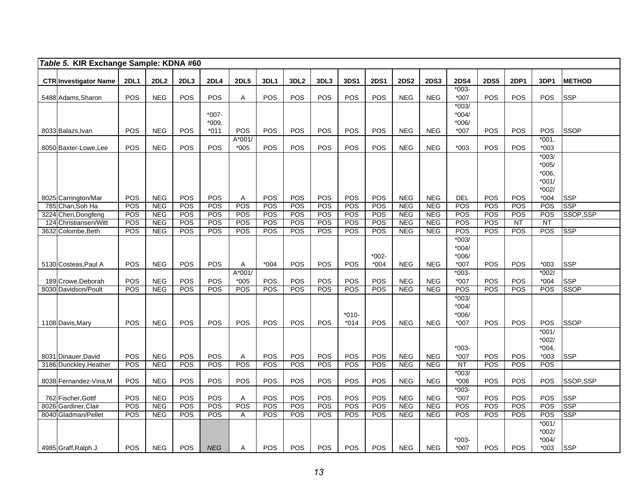| Table 5. KIR Exchange Sample: KDNA #60             |             |                          |            |                            |                    |                   |                          |                          |                   |                   |                          |                          |                                       |             |                  |                                                 |               |
|----------------------------------------------------|-------------|--------------------------|------------|----------------------------|--------------------|-------------------|--------------------------|--------------------------|-------------------|-------------------|--------------------------|--------------------------|---------------------------------------|-------------|------------------|-------------------------------------------------|---------------|
| <b>CTR Investigator Name</b>                       | <b>2DL1</b> | 2DL <sub>2</sub>         | 2DL3       | <b>2DL4</b>                | <b>2DL5</b>        | 3DL1              | 3DL <sub>2</sub>         | 3DL3                     | 3DS1              | <b>2DS1</b>       | <b>2DS2</b>              | <b>2DS3</b>              | <b>2DS4</b>                           | <b>2DS5</b> | <b>2DP1</b>      | 3DP1                                            | <b>METHOD</b> |
| 5488 Adams, Sharon                                 | POS         | <b>NEG</b>               | POS        | <b>POS</b>                 | Α                  | POS               | <b>POS</b>               | <b>POS</b>               | POS               | <b>POS</b>        | <b>NEG</b>               | <b>NEG</b>               | $*003-$<br>$*007$                     | POS         | POS              | <b>POS</b>                                      | <b>SSP</b>    |
| 8033 Balazs, Ivan                                  | <b>POS</b>  | <b>NEG</b>               | POS        | $*007-$<br>*009,<br>$*011$ | POS                | POS               | <b>POS</b>               | POS                      | <b>POS</b>        | <b>POS</b>        | <b>NEG</b>               | <b>NEG</b>               | $*003/$<br>$*004/$<br>*006/<br>$*007$ | POS         | POS              | POS                                             | <b>SSOP</b>   |
| 8050 Baxter-Lowe, Lee                              | POS         | <b>NEG</b>               | POS        | POS                        | A*001/<br>$*005$   | POS               | <b>POS</b>               | POS                      | POS               | POS               | <b>NEG</b>               | <b>NEG</b>               | $*003$                                | POS         | POS              | $*001,$<br>$*003$                               |               |
|                                                    |             |                          |            |                            |                    |                   |                          |                          |                   |                   |                          |                          |                                       |             |                  | $*003/$<br>$*005/$<br>*006,<br>$*001/$<br>*002/ |               |
| 8025 Carrington/Mar                                | POS         | <b>NEG</b>               | POS        | <b>POS</b>                 | Α                  | POS               | POS                      | <b>POS</b>               | POS               | POS               | <b>NEG</b>               | <b>NEG</b>               | <b>DEL</b>                            | POS         | POS              | $*004$                                          | <b>SSP</b>    |
| 785 Chan, Soh Ha                                   | <b>POS</b>  | <b>NEG</b>               | POS        | POS                        | POS                | POS               | POS                      | POS                      | POS               | POS               | <b>NEG</b>               | <b>NEG</b>               | <b>POS</b>                            | POS         | POS              | POS                                             | <b>SSP</b>    |
| Chen, Dongfeng<br>3224<br>Christiansen/Witt<br>124 | POS<br>POS  | <b>NEG</b><br><b>NEG</b> | POS<br>POS | POS<br>POS                 | POS<br>POS         | POS<br><b>POS</b> | <b>POS</b><br><b>POS</b> | <b>POS</b><br><b>POS</b> | POS<br>POS        | <b>POS</b><br>POS | <b>NEG</b><br><b>NEG</b> | <b>NEG</b><br><b>NEG</b> | POS<br>POS                            | POS<br>POS  | POS<br><b>NT</b> | <b>POS</b><br><b>NT</b>                         | SSOP,SSP      |
| 3632 Colombe, Beth                                 | POS         | <b>NEG</b>               | POS        | POS                        | POS                | POS               | POS                      | POS                      | POS               | POS               | <b>NEG</b>               | <b>NEG</b>               | POS                                   | POS         | POS              | POS                                             | <b>SSP</b>    |
|                                                    |             |                          |            |                            |                    |                   |                          |                          |                   | $*002-$           |                          |                          | $*003/$<br>$*004/$<br>*006/           |             |                  |                                                 |               |
| 5130 Costeas, Paul A                               | POS         | <b>NEG</b>               | POS        | <b>POS</b>                 | Α                  | $*004$            | POS                      | <b>POS</b>               | <b>POS</b>        | $*004$            | <b>NEG</b>               | <b>NEG</b>               | *007                                  | <b>POS</b>  | POS              | $*003$                                          | <b>SSP</b>    |
| 189 Crowe, Deborah                                 | POS         | <b>NEG</b>               | POS        | <b>POS</b>                 | $A*001/$<br>$*005$ | POS               | POS                      | <b>POS</b>               | POS               | POS               | <b>NEG</b>               | <b>NEG</b>               | $*003-$<br>$*007$                     | POS         | <b>POS</b>       | $*002/$<br>$*004$                               | <b>SSP</b>    |
| 8030 Davidson/Poult                                | POS         | <b>NEG</b>               | POS        | POS                        | POS                | POS               | POS                      | POS                      | POS               | POS               | <b>NEG</b>               | <b>NEG</b>               | POS                                   | POS         | POS              | POS                                             | <b>SSOP</b>   |
| 1108 Davis, Mary                                   | <b>POS</b>  | <b>NEG</b>               | POS        | <b>POS</b>                 | POS                | POS               | <b>POS</b>               | <b>POS</b>               | $*010-$<br>$*014$ | <b>POS</b>        | <b>NEG</b>               | <b>NEG</b>               | $*003/$<br>$*004/$<br>*006/<br>$*007$ | POS         | POS              | <b>POS</b>                                      | <b>SSOP</b>   |
| 8031 Dinauer David                                 | POS         | <b>NEG</b>               | POS        | POS                        | A                  | <b>POS</b>        | POS                      | POS                      | POS               | POS               | <b>NEG</b>               | <b>NEG</b>               | $*003-$<br>*007                       | POS         | POS              | $*001/$<br>$*002/$<br>$*004.$<br>$*003$         | <b>SSP</b>    |
| 3186 Dunckley, Heather                             | POS         | <b>NEG</b>               | POS        | <b>POS</b>                 | POS                | POS               | POS                      | POS                      | POS               | POS               | <b>NEG</b>               | <b>NEG</b>               | <b>NT</b>                             | POS         | POS              | <b>POS</b>                                      |               |
| 8038 Fernandez-Vina, M                             | POS         | <b>NEG</b>               | POS        | POS                        | POS                | <b>POS</b>        | <b>POS</b>               | <b>POS</b>               | POS               | <b>POS</b>        | <b>NEG</b>               | <b>NEG</b>               | $*003/$<br>$*006$                     | POS         | POS              | <b>POS</b>                                      | SSOP.SSP      |
| 762 Fischer, Gottf                                 | POS         | <b>NEG</b>               | POS        | <b>POS</b>                 | A                  | <b>POS</b>        | POS                      | POS                      | POS               | POS               | <b>NEG</b>               | <b>NEG</b>               | $*003-$<br>*007                       | POS         | <b>POS</b>       | <b>POS</b>                                      | <b>SSP</b>    |
| 8026 Gardiner, Clair                               | POS         | <b>NEG</b>               | POS        | POS                        | POS                | POS               | <b>POS</b>               | POS                      | POS               | POS               | <b>NEG</b>               | <b>NEG</b>               | POS                                   | POS         | POS              | POS                                             | <b>SSP</b>    |
| 8040 Gladman/Pellet                                | POS         | <b>NEG</b>               | POS        | POS                        | Α                  | POS               | POS                      | POS                      | POS               | POS               | <b>NEG</b>               | <b>NEG</b>               | POS                                   | POS         | POS              | POS                                             | <b>SSP</b>    |
| 4985 Graff, Ralph J.                               | <b>POS</b>  | <b>NEG</b>               | <b>POS</b> | <b>NEG</b>                 | Α                  | <b>POS</b>        | <b>POS</b>               | <b>POS</b>               | <b>POS</b>        | <b>POS</b>        | <b>NEG</b>               | <b>NEG</b>               | $*003-$<br>$*007$                     | POS         | POS              | $*001/$<br>$*002/$<br>$*004/$<br>$*003$         | <b>SSP</b>    |
|                                                    |             |                          |            |                            |                    |                   |                          |                          |                   |                   |                          |                          |                                       |             |                  |                                                 |               |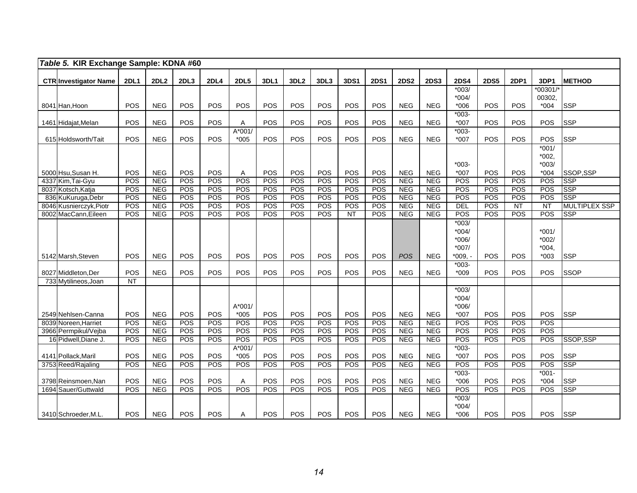| Table 5. KIR Exchange Sample: KDNA #60                                                                                                   |                                                      |                                                                                                |                                                             |                                                                    |                                                                           |                                                             |                                                             |                                                                           |                                                      |                                                             |                                                                                                |                                                                                                |                                                                                                                                |                                               |                                               |                                                      |                                                                   |
|------------------------------------------------------------------------------------------------------------------------------------------|------------------------------------------------------|------------------------------------------------------------------------------------------------|-------------------------------------------------------------|--------------------------------------------------------------------|---------------------------------------------------------------------------|-------------------------------------------------------------|-------------------------------------------------------------|---------------------------------------------------------------------------|------------------------------------------------------|-------------------------------------------------------------|------------------------------------------------------------------------------------------------|------------------------------------------------------------------------------------------------|--------------------------------------------------------------------------------------------------------------------------------|-----------------------------------------------|-----------------------------------------------|------------------------------------------------------|-------------------------------------------------------------------|
|                                                                                                                                          | <b>2DL1</b>                                          | <b>2DL2</b>                                                                                    | 2DL3                                                        | <b>2DL4</b>                                                        | <b>2DL5</b>                                                               | 3DL1                                                        | 3DL <sub>2</sub>                                            | 3DL3                                                                      | <b>3DS1</b>                                          | <b>2DS1</b>                                                 | <b>2DS2</b>                                                                                    | <b>2DS3</b>                                                                                    | <b>2DS4</b>                                                                                                                    | <b>2DS5</b>                                   | 2DP1                                          | 3DP1                                                 | <b>METHOD</b>                                                     |
| <b>CTR</b> Investigator Name                                                                                                             |                                                      |                                                                                                |                                                             |                                                                    |                                                                           |                                                             |                                                             |                                                                           |                                                      |                                                             |                                                                                                |                                                                                                | $*003/$                                                                                                                        |                                               |                                               | $*00301/$                                            |                                                                   |
|                                                                                                                                          |                                                      |                                                                                                |                                                             |                                                                    |                                                                           |                                                             |                                                             |                                                                           |                                                      |                                                             |                                                                                                |                                                                                                | $*004/$                                                                                                                        |                                               |                                               | 00302,                                               |                                                                   |
| 8041 Han, Hoon                                                                                                                           | POS                                                  | <b>NEG</b>                                                                                     | POS                                                         | <b>POS</b>                                                         | POS                                                                       | POS                                                         | POS                                                         | <b>POS</b>                                                                | <b>POS</b>                                           | <b>POS</b>                                                  | <b>NEG</b>                                                                                     | <b>NEG</b>                                                                                     | $*006$                                                                                                                         | POS                                           | <b>POS</b>                                    | $*004$                                               | <b>SSP</b>                                                        |
|                                                                                                                                          |                                                      |                                                                                                |                                                             |                                                                    |                                                                           |                                                             |                                                             |                                                                           |                                                      |                                                             |                                                                                                |                                                                                                | $*003-$                                                                                                                        |                                               |                                               |                                                      |                                                                   |
| 1461 Hidajat, Melan                                                                                                                      | POS                                                  | <b>NEG</b>                                                                                     | POS                                                         | <b>POS</b>                                                         | Α                                                                         | <b>POS</b>                                                  | POS                                                         | <b>POS</b>                                                                | <b>POS</b>                                           | <b>POS</b>                                                  | <b>NEG</b>                                                                                     | <b>NEG</b>                                                                                     | $*007$                                                                                                                         | POS                                           | <b>POS</b>                                    | <b>POS</b>                                           | <b>SSP</b>                                                        |
|                                                                                                                                          |                                                      |                                                                                                |                                                             |                                                                    | A*001/                                                                    |                                                             |                                                             |                                                                           |                                                      |                                                             |                                                                                                |                                                                                                | $*003-$                                                                                                                        |                                               |                                               |                                                      |                                                                   |
| 615 Holdsworth/Tait                                                                                                                      | POS                                                  | <b>NEG</b>                                                                                     | POS                                                         | POS                                                                | $*005$                                                                    | <b>POS</b>                                                  | <b>POS</b>                                                  | <b>POS</b>                                                                | POS                                                  | POS                                                         | <b>NEG</b>                                                                                     | <b>NEG</b>                                                                                     | *007                                                                                                                           | POS                                           | POS                                           | POS                                                  | <b>SSP</b>                                                        |
|                                                                                                                                          |                                                      |                                                                                                |                                                             |                                                                    |                                                                           |                                                             |                                                             |                                                                           |                                                      |                                                             |                                                                                                |                                                                                                |                                                                                                                                |                                               |                                               | $*001/$<br>$*002,$                                   |                                                                   |
|                                                                                                                                          |                                                      |                                                                                                |                                                             |                                                                    |                                                                           |                                                             |                                                             |                                                                           |                                                      |                                                             |                                                                                                |                                                                                                | $*003-$                                                                                                                        |                                               |                                               | $*003/$                                              |                                                                   |
| 5000 Hsu, Susan H.                                                                                                                       | POS                                                  | <b>NEG</b>                                                                                     | POS                                                         | POS                                                                | Α                                                                         | POS                                                         | POS                                                         | POS                                                                       | POS                                                  | POS                                                         | <b>NEG</b>                                                                                     | <b>NEG</b>                                                                                     | $*007$                                                                                                                         | POS                                           | POS                                           | $*004$                                               | SSOP,SSP                                                          |
| 4337 Kim, Tai-Gyu                                                                                                                        | POS                                                  | <b>NEG</b>                                                                                     | POS                                                         | POS                                                                | POS                                                                       | <b>POS</b>                                                  | <b>POS</b>                                                  | <b>POS</b>                                                                | POS                                                  | POS                                                         | <b>NEG</b>                                                                                     | <b>NEG</b>                                                                                     | POS                                                                                                                            | POS                                           | POS                                           | POS                                                  | <b>SSP</b>                                                        |
| 8037 Kotsch, Katja                                                                                                                       | POS                                                  | <b>NEG</b>                                                                                     | POS                                                         | POS                                                                | POS                                                                       | POS                                                         | POS                                                         | POS                                                                       | POS                                                  | POS                                                         | <b>NEG</b>                                                                                     | <b>NEG</b>                                                                                     | POS                                                                                                                            | POS                                           | POS                                           | POS                                                  | <b>SSP</b>                                                        |
| 836 KuKuruga, Debr                                                                                                                       | POS                                                  | <b>NEG</b>                                                                                     | POS                                                         | POS                                                                | POS                                                                       | POS                                                         | POS                                                         | <b>POS</b>                                                                | POS                                                  | POS                                                         | <b>NEG</b>                                                                                     | <b>NEG</b>                                                                                     | <b>POS</b>                                                                                                                     | POS                                           | POS                                           | POS                                                  | <b>SSP</b>                                                        |
| 8046 Kusnierczyk, Piotr                                                                                                                  | POS                                                  | <b>NEG</b>                                                                                     | POS                                                         | POS                                                                | POS                                                                       | POS                                                         | POS                                                         | POS                                                                       | POS                                                  | POS                                                         | <b>NEG</b>                                                                                     | <b>NEG</b>                                                                                     | <b>DEL</b>                                                                                                                     | POS                                           | NT                                            | $\overline{NT}$                                      | <b>MULTIPLEX SSP</b>                                              |
| 8002 MacCann, Eileen                                                                                                                     | POS                                                  | <b>NEG</b>                                                                                     | POS                                                         | POS                                                                | <b>POS</b>                                                                | POS                                                         | POS                                                         | POS                                                                       | NT                                                   | POS                                                         | <b>NEG</b>                                                                                     | <b>NEG</b>                                                                                     | <b>POS</b>                                                                                                                     | POS                                           | POS                                           | POS                                                  | <b>SSP</b>                                                        |
|                                                                                                                                          |                                                      |                                                                                                |                                                             |                                                                    |                                                                           |                                                             |                                                             |                                                                           |                                                      |                                                             |                                                                                                |                                                                                                | $*003/$                                                                                                                        |                                               |                                               |                                                      |                                                                   |
|                                                                                                                                          |                                                      |                                                                                                |                                                             |                                                                    |                                                                           |                                                             |                                                             |                                                                           |                                                      |                                                             |                                                                                                |                                                                                                | $*004/$                                                                                                                        |                                               |                                               | $*001/$                                              |                                                                   |
|                                                                                                                                          |                                                      |                                                                                                |                                                             |                                                                    |                                                                           |                                                             |                                                             |                                                                           |                                                      |                                                             |                                                                                                |                                                                                                | $*006/$                                                                                                                        |                                               |                                               | $*002/$                                              |                                                                   |
| 5142 Marsh, Steven                                                                                                                       | POS                                                  | <b>NEG</b>                                                                                     | POS                                                         | POS                                                                | POS                                                                       | POS                                                         | POS                                                         | POS                                                                       | POS                                                  | POS                                                         | POS                                                                                            | <b>NEG</b>                                                                                     | $*007/$<br>$*009, -$                                                                                                           | POS                                           | POS                                           | $*004,$<br>$*003$                                    | <b>SSP</b>                                                        |
|                                                                                                                                          |                                                      |                                                                                                |                                                             |                                                                    |                                                                           |                                                             |                                                             |                                                                           |                                                      |                                                             |                                                                                                |                                                                                                | $*003-$                                                                                                                        |                                               |                                               |                                                      |                                                                   |
| 8027 Middleton, Der                                                                                                                      | POS                                                  | <b>NEG</b>                                                                                     | POS                                                         | POS                                                                | POS                                                                       | POS                                                         | POS                                                         | <b>POS</b>                                                                | POS                                                  | POS                                                         | <b>NEG</b>                                                                                     | <b>NEG</b>                                                                                     | $*009$                                                                                                                         | POS                                           | POS                                           | POS                                                  | <b>SSOP</b>                                                       |
| 733 Mytilineos, Joan                                                                                                                     | NT                                                   |                                                                                                |                                                             |                                                                    |                                                                           |                                                             |                                                             |                                                                           |                                                      |                                                             |                                                                                                |                                                                                                |                                                                                                                                |                                               |                                               |                                                      |                                                                   |
|                                                                                                                                          |                                                      |                                                                                                |                                                             |                                                                    |                                                                           |                                                             |                                                             |                                                                           |                                                      |                                                             |                                                                                                |                                                                                                | $*003/$                                                                                                                        |                                               |                                               |                                                      |                                                                   |
|                                                                                                                                          |                                                      |                                                                                                |                                                             |                                                                    |                                                                           |                                                             |                                                             |                                                                           |                                                      |                                                             |                                                                                                |                                                                                                | $*004/$                                                                                                                        |                                               |                                               |                                                      |                                                                   |
|                                                                                                                                          |                                                      |                                                                                                |                                                             |                                                                    |                                                                           |                                                             |                                                             |                                                                           |                                                      |                                                             |                                                                                                |                                                                                                |                                                                                                                                |                                               |                                               |                                                      |                                                                   |
|                                                                                                                                          |                                                      |                                                                                                |                                                             |                                                                    |                                                                           |                                                             |                                                             |                                                                           |                                                      |                                                             |                                                                                                |                                                                                                |                                                                                                                                |                                               |                                               |                                                      |                                                                   |
|                                                                                                                                          |                                                      |                                                                                                |                                                             |                                                                    |                                                                           |                                                             |                                                             |                                                                           |                                                      |                                                             |                                                                                                |                                                                                                |                                                                                                                                |                                               |                                               |                                                      |                                                                   |
|                                                                                                                                          |                                                      |                                                                                                |                                                             |                                                                    |                                                                           |                                                             |                                                             |                                                                           |                                                      |                                                             |                                                                                                |                                                                                                |                                                                                                                                |                                               |                                               |                                                      |                                                                   |
|                                                                                                                                          |                                                      |                                                                                                |                                                             |                                                                    |                                                                           |                                                             |                                                             |                                                                           |                                                      |                                                             |                                                                                                |                                                                                                |                                                                                                                                |                                               |                                               |                                                      |                                                                   |
|                                                                                                                                          |                                                      |                                                                                                |                                                             |                                                                    |                                                                           |                                                             |                                                             |                                                                           |                                                      |                                                             |                                                                                                |                                                                                                |                                                                                                                                |                                               |                                               |                                                      |                                                                   |
| 3753 Reed/Rajaling                                                                                                                       | POS                                                  | <b>NEG</b>                                                                                     | POS                                                         | POS                                                                | POS                                                                       | <b>POS</b>                                                  | POS                                                         | POS                                                                       | <b>POS</b>                                           | POS                                                         | <b>NEG</b>                                                                                     | <b>NEG</b>                                                                                     | POS                                                                                                                            | POS                                           | POS                                           | <b>POS</b>                                           | <b>SSP</b>                                                        |
|                                                                                                                                          |                                                      |                                                                                                |                                                             |                                                                    |                                                                           |                                                             |                                                             |                                                                           |                                                      |                                                             |                                                                                                |                                                                                                | $*003-$                                                                                                                        |                                               |                                               | $*001 -$                                             |                                                                   |
| 3798 Reinsmoen, Nan                                                                                                                      | POS                                                  | <b>NEG</b>                                                                                     | POS                                                         | POS                                                                | Α                                                                         | POS                                                         | POS                                                         | POS                                                                       | POS                                                  | POS                                                         | <b>NEG</b>                                                                                     | <b>NEG</b>                                                                                     | $*006$                                                                                                                         | POS                                           | POS                                           | $*004$                                               | <b>SSP</b>                                                        |
| 1694 Sauer/Guttwald                                                                                                                      |                                                      |                                                                                                |                                                             |                                                                    |                                                                           |                                                             |                                                             |                                                                           |                                                      |                                                             |                                                                                                |                                                                                                |                                                                                                                                |                                               |                                               |                                                      |                                                                   |
|                                                                                                                                          |                                                      |                                                                                                |                                                             |                                                                    |                                                                           |                                                             |                                                             |                                                                           |                                                      |                                                             |                                                                                                |                                                                                                |                                                                                                                                |                                               |                                               |                                                      |                                                                   |
|                                                                                                                                          |                                                      |                                                                                                |                                                             |                                                                    |                                                                           |                                                             |                                                             |                                                                           |                                                      |                                                             |                                                                                                |                                                                                                |                                                                                                                                |                                               |                                               |                                                      |                                                                   |
| 2549 Nehlsen-Canna<br>8039 Noreen, Harriet<br>3966 Permpikul/Vejba<br>16 Pidwell, Diane J.<br>4141 Pollack, Maril<br>3410 Schroeder M.L. | POS<br>POS<br>POS<br>POS<br>POS<br>POS<br><b>POS</b> | <b>NEG</b><br><b>NEG</b><br><b>NEG</b><br><b>NEG</b><br><b>NEG</b><br><b>NEG</b><br><b>NEG</b> | POS<br>POS<br><b>POS</b><br>POS<br>POS<br>POS<br><b>POS</b> | <b>POS</b><br>POS<br>POS<br><b>POS</b><br>POS<br>POS<br><b>POS</b> | $A*001/$<br>$*005$<br>POS<br>POS<br>POS<br>$A*001/$<br>$*005$<br>POS<br>Α | POS<br>POS<br><b>POS</b><br><b>POS</b><br>POS<br>POS<br>POS | POS<br><b>POS</b><br><b>POS</b><br>POS<br>POS<br>POS<br>POS | <b>POS</b><br>POS<br><b>POS</b><br>POS<br>POS<br><b>POS</b><br><b>POS</b> | POS<br>POS<br><b>POS</b><br>POS<br>POS<br>POS<br>POS | POS<br><b>POS</b><br>POS<br>POS<br>POS<br>POS<br><b>POS</b> | <b>NEG</b><br><b>NEG</b><br><b>NEG</b><br><b>NEG</b><br><b>NEG</b><br><b>NEG</b><br><b>NEG</b> | <b>NEG</b><br><b>NEG</b><br><b>NEG</b><br><b>NEG</b><br><b>NEG</b><br><b>NEG</b><br><b>NEG</b> | $*006/$<br>$*007$<br><b>POS</b><br><b>POS</b><br><b>POS</b><br>$*003-$<br>$*007$<br><b>POS</b><br>$*003/$<br>$*004/$<br>$*006$ | POS<br>POS<br>POS<br>POS<br>POS<br>POS<br>POS | POS<br>POS<br>POS<br>POS<br>POS<br>POS<br>POS | POS<br>POS<br>POS<br>POS<br>POS<br><b>POS</b><br>POS | <b>SSP</b><br>SSOP, SSP<br><b>SSP</b><br><b>SSP</b><br><b>SSP</b> |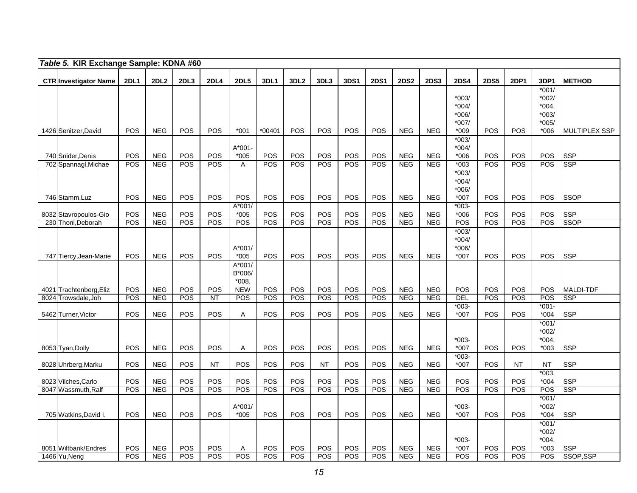|      | Table 5. KIR Exchange Sample: KDNA #60 |            |                          |            |             |                      |                   |                  |                   |             |                   |                          |                          |               |             |             |                          |                           |
|------|----------------------------------------|------------|--------------------------|------------|-------------|----------------------|-------------------|------------------|-------------------|-------------|-------------------|--------------------------|--------------------------|---------------|-------------|-------------|--------------------------|---------------------------|
|      | <b>CTR Investigator Name</b>           | 2DL1       | 2DL2                     | 2DL3       | <b>2DL4</b> | <b>2DL5</b>          | 3DL1              | 3DL <sub>2</sub> | 3DL3              | <b>3DS1</b> | <b>2DS1</b>       | <b>2DS2</b>              | <b>2DS3</b>              | <b>2DS4</b>   | <b>2DS5</b> | <b>2DP1</b> | 3DP1                     | <b>METHOD</b>             |
|      |                                        |            |                          |            |             |                      |                   |                  |                   |             |                   |                          |                          |               |             |             | $*001/$                  |                           |
|      |                                        |            |                          |            |             |                      |                   |                  |                   |             |                   |                          |                          | $*003/$       |             |             | $*002/$                  |                           |
|      |                                        |            |                          |            |             |                      |                   |                  |                   |             |                   |                          |                          | $*004/$       |             |             | $*004,$                  |                           |
|      |                                        |            |                          |            |             |                      |                   |                  |                   |             |                   |                          |                          | *006/         |             |             | $*003/$                  |                           |
|      |                                        |            |                          |            |             |                      |                   |                  |                   |             |                   |                          |                          | *007/         |             |             | $*005/$                  |                           |
|      | 1426 Senitzer, David                   | POS        | <b>NEG</b>               | POS        | POS         | $*001$               | *00401            | POS              | <b>POS</b>        | POS         | POS               | <b>NEG</b>               | <b>NEG</b>               | $*009$        | POS         | <b>POS</b>  | $*006$                   | <b>MULTIPLEX SSP</b>      |
|      |                                        |            |                          |            |             |                      |                   |                  |                   |             |                   |                          |                          | $*003/$       |             |             |                          |                           |
|      |                                        |            |                          |            |             | $A*001-$             |                   |                  |                   |             |                   |                          |                          | $*004/$       |             |             |                          |                           |
|      | 740 Snider, Denis                      | POS        | <b>NEG</b>               | POS        | POS         | $*005$               | POS               | POS              | POS               | POS         | POS               | <b>NEG</b>               | <b>NEG</b>               | $*006$        | POS         | POS         | POS                      | <b>SSP</b>                |
|      | 702 Spannagl, Michae                   | POS        | <b>NEG</b>               | POS        | POS         | Α                    | POS               | $\overline{POS}$ | POS               | POS         | POS               | NEG                      | <b>NEG</b>               | $*003$        | POS         | POS         | $\overline{POS}$         | <b>SSP</b>                |
|      |                                        |            |                          |            |             |                      |                   |                  |                   |             |                   |                          |                          | $*003/$       |             |             |                          |                           |
|      |                                        |            |                          |            |             |                      |                   |                  |                   |             |                   |                          |                          | $*004/$       |             |             |                          |                           |
|      |                                        |            |                          |            |             |                      |                   |                  |                   |             |                   |                          |                          | *006/         |             |             |                          |                           |
|      | 746 Stamm, Luz                         | POS        | <b>NEG</b>               | POS        | POS         | <b>POS</b>           | POS               | <b>POS</b>       | <b>POS</b>        | <b>POS</b>  | POS               | <b>NEG</b>               | <b>NEG</b>               | *007          | POS         | POS         | <b>POS</b>               | <b>SSOP</b>               |
|      |                                        |            |                          |            |             | $A*001/$             |                   |                  |                   |             |                   |                          |                          | $*003-$       |             |             |                          |                           |
|      | 8032 Stavropoulos-Gio                  | POS<br>POS | <b>NEG</b><br><b>NEG</b> | POS<br>POS | POS<br>POS  | $*005$<br><b>POS</b> | POS<br><b>POS</b> | POS<br>POS       | POS<br><b>POS</b> | POS<br>POS  | <b>POS</b><br>POS | <b>NEG</b><br><b>NEG</b> | <b>NEG</b><br><b>NEG</b> | $*006$<br>POS | POS<br>POS  | POS<br>POS  | <b>POS</b><br><b>POS</b> | <b>SSP</b><br><b>SSOP</b> |
| 230  | Thoni, Deborah                         |            |                          |            |             |                      |                   |                  |                   |             |                   |                          |                          | $*003/$       |             |             |                          |                           |
|      |                                        |            |                          |            |             |                      |                   |                  |                   |             |                   |                          |                          | $*004/$       |             |             |                          |                           |
|      |                                        |            |                          |            |             | A*001/               |                   |                  |                   |             |                   |                          |                          | $*006/$       |             |             |                          |                           |
|      | 747 Tiercy, Jean-Marie                 | POS        | <b>NEG</b>               | POS        | <b>POS</b>  | $*005$               | POS               | POS              | <b>POS</b>        | POS         | <b>POS</b>        | <b>NEG</b>               | <b>NEG</b>               | *007          | POS         | POS         | <b>POS</b>               | <b>SSP</b>                |
|      |                                        |            |                          |            |             | A*001/               |                   |                  |                   |             |                   |                          |                          |               |             |             |                          |                           |
|      |                                        |            |                          |            |             | B*006/               |                   |                  |                   |             |                   |                          |                          |               |             |             |                          |                           |
|      |                                        |            |                          |            |             | $*008.$              |                   |                  |                   |             |                   |                          |                          |               |             |             |                          |                           |
| 4021 | Trachtenberg, Eliz                     | POS        | <b>NEG</b>               | POS        | POS         | <b>NEW</b>           | POS               | POS              | POS               | POS         | POS               | <b>NEG</b>               | <b>NEG</b>               | POS           | POS         | POS         | POS                      | <b>MALDI-TDF</b>          |
| 8024 | Trowsdale, Joh                         | POS        | <b>NEG</b>               | POS        | <b>NT</b>   | POS                  | <b>POS</b>        | POS              | POS               | POS         | POS               | <b>NEG</b>               | <b>NEG</b>               | DEL           | POS         | POS         | POS                      | <b>SSP</b>                |
|      |                                        |            |                          |            |             |                      |                   |                  |                   |             |                   |                          |                          | $*003-$       |             |             | $*001-$                  |                           |
|      | 5462 Turner, Victor                    | POS        | <b>NEG</b>               | POS        | POS         | Α                    | POS               | POS              | <b>POS</b>        | POS         | <b>POS</b>        | <b>NEG</b>               | <b>NEG</b>               | *007          | POS         | <b>POS</b>  | $*004$                   | <b>SSP</b>                |
|      |                                        |            |                          |            |             |                      |                   |                  |                   |             |                   |                          |                          |               |             |             | $*001/$                  |                           |
|      |                                        |            |                          |            |             |                      |                   |                  |                   |             |                   |                          |                          | $*003-$       |             |             | *002/<br>$*004,$         |                           |
|      | 8053 Tyan, Dolly                       | POS        | <b>NEG</b>               | POS        | <b>POS</b>  | Α                    | <b>POS</b>        | POS              | <b>POS</b>        | <b>POS</b>  | POS               | <b>NEG</b>               | <b>NEG</b>               | $*007$        | POS         | <b>POS</b>  | *003                     | <b>SSP</b>                |
|      |                                        |            |                          |            |             |                      |                   |                  |                   |             |                   |                          |                          | $*003-$       |             |             |                          |                           |
|      | 8028 Uhrberg, Marku                    | POS        | <b>NEG</b>               | POS        | <b>NT</b>   | POS                  | POS               | POS              | <b>NT</b>         | POS         | POS               | <b>NEG</b>               | <b>NEG</b>               | $*007$        | POS         | <b>NT</b>   | <b>NT</b>                | <b>SSP</b>                |
|      |                                        |            |                          |            |             |                      |                   |                  |                   |             |                   |                          |                          |               |             |             | $*003$                   |                           |
|      | 8023 Vilches, Carlo                    | POS        | <b>NEG</b>               | POS        | POS         | POS                  | POS               | POS              | POS               | POS         | POS               | NEG                      | <b>NEG</b>               | POS           | POS         | POS         | $*004$                   | <b>SSP</b>                |
|      | 8047 Wassmuth, Ralf                    | POS        | <b>NEG</b>               | POS        | POS         | POS                  | <b>POS</b>        | POS              | POS               | POS         | POS               | <b>NEG</b>               | <b>NEG</b>               | POS           | POS         | POS         | POS                      | <b>SSP</b>                |
|      |                                        |            |                          |            |             |                      |                   |                  |                   |             |                   |                          |                          |               |             |             | $*001/$                  |                           |
|      |                                        |            |                          |            |             | $A*001/$             |                   |                  |                   |             |                   |                          |                          | $*003-$       |             |             | *002/                    |                           |
|      | 705 Watkins, David I.                  | POS        | <b>NEG</b>               | POS        | POS         | $*005$               | <b>POS</b>        | <b>POS</b>       | <b>POS</b>        | POS         | POS               | <b>NEG</b>               | <b>NEG</b>               | $*007$        | POS         | <b>POS</b>  | $*004$                   | <b>SSP</b>                |
|      |                                        |            |                          |            |             |                      |                   |                  |                   |             |                   |                          |                          |               |             |             | $*001/$                  |                           |
|      |                                        |            |                          |            |             |                      |                   |                  |                   |             |                   |                          |                          |               |             |             | $*002/$                  |                           |
|      |                                        |            |                          |            |             |                      |                   |                  |                   |             |                   |                          |                          | $*003-$       |             |             | *004.                    |                           |
|      | 8051 Wiltbank/Endres                   | POS        | <b>NEG</b>               | POS        | POS         | Α                    | <b>POS</b>        | POS              | POS               | POS         | POS               | <b>NEG</b>               | <b>NEG</b>               | $*007$        | POS         | POS         | $*003$                   | <b>SSP</b>                |
|      | 1466 Yu, Neng                          | POS        | <b>NEG</b>               | <b>POS</b> | POS         | POS                  | POS               | POS              | POS               | <b>POS</b>  | POS               | NEG                      | <b>NEG</b>               | POS           | <b>POS</b>  | <b>POS</b>  | POS                      | SSOP,SSP                  |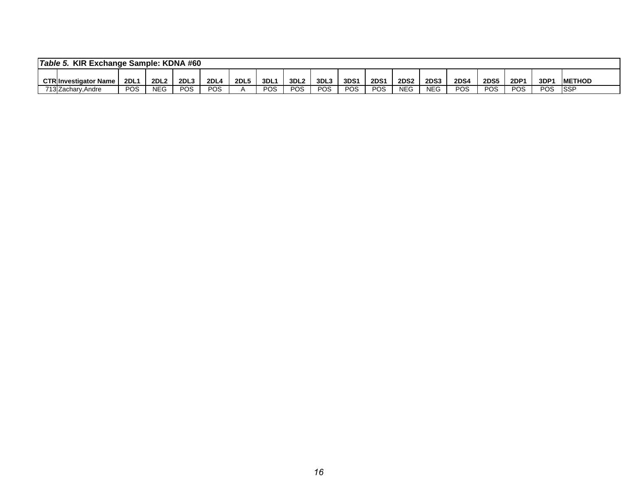| Table 5.<br>KIR Exchange Sample: KDNA #60 |                             |     |                  |                  |             |             |     |                  |      |      |             |             |             |             |             |      |      |               |
|-------------------------------------------|-----------------------------|-----|------------------|------------------|-------------|-------------|-----|------------------|------|------|-------------|-------------|-------------|-------------|-------------|------|------|---------------|
|                                           | <b>CTRInvestigator Name</b> | 2DL | 2DL <sub>2</sub> | 2DL <sub>3</sub> | <b>2DL4</b> | <b>2DL5</b> | 3DL | 3DL <sub>2</sub> | 3DL3 | 3DS1 | <b>2DS1</b> | <b>2DS2</b> | <b>2DS3</b> | <b>2DS4</b> | <b>2DS5</b> | 2DP1 | 3DP1 | <b>METHOD</b> |
| ラィヘレフ                                     | .Andre<br>13IZacharv.       | POS | <b>NEG</b>       | POS              | POS         |             | POS | POS              | POS  | POS  | POS         | <b>NEC</b>  | <b>NEC</b>  | POS         | POS         | POS  | POS  | <b>SSP</b>    |